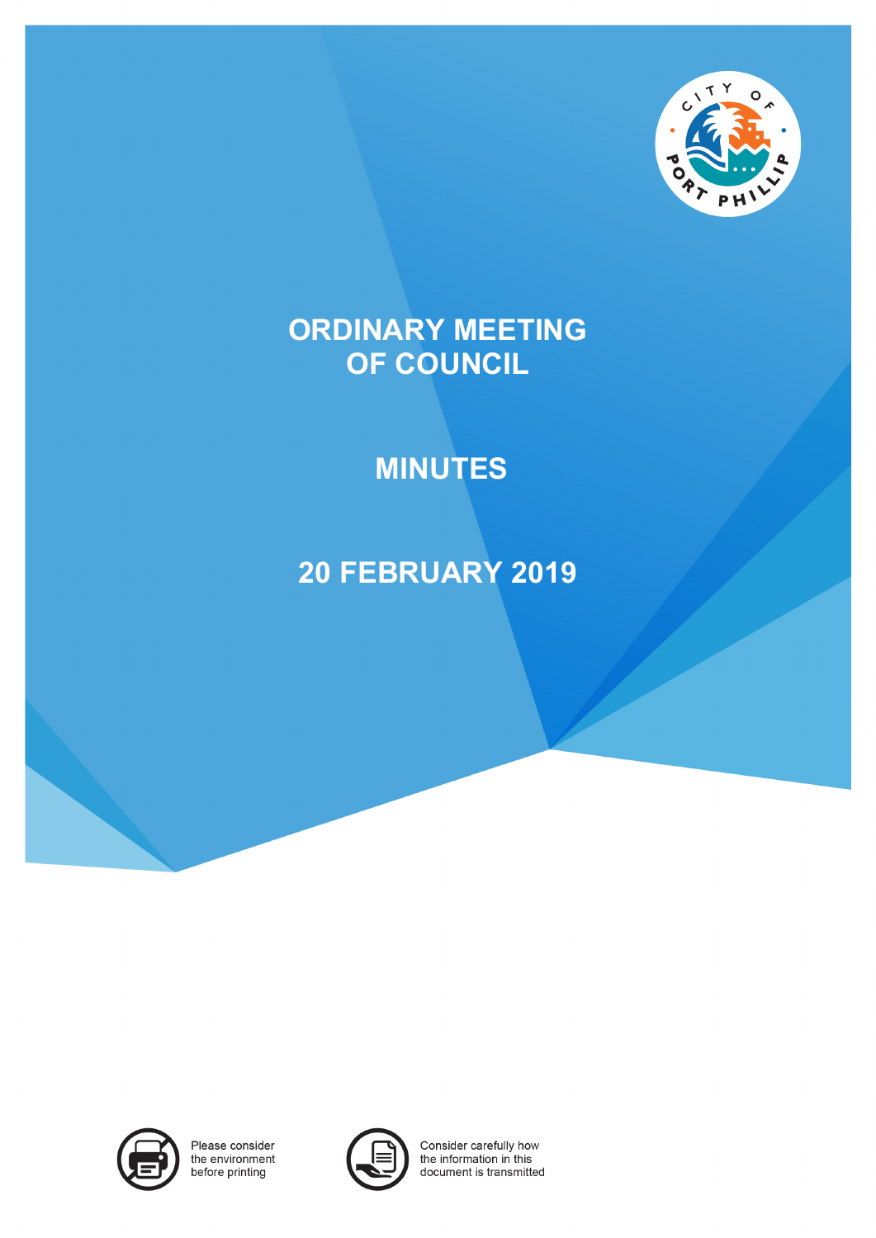

# **ORDINARY MEETING OF COUNCIL**

# **MINUTES**

# **20 FEBRUARY 2019**



Please consider the environment before printing



Consider carefully how the information in this document is transmitted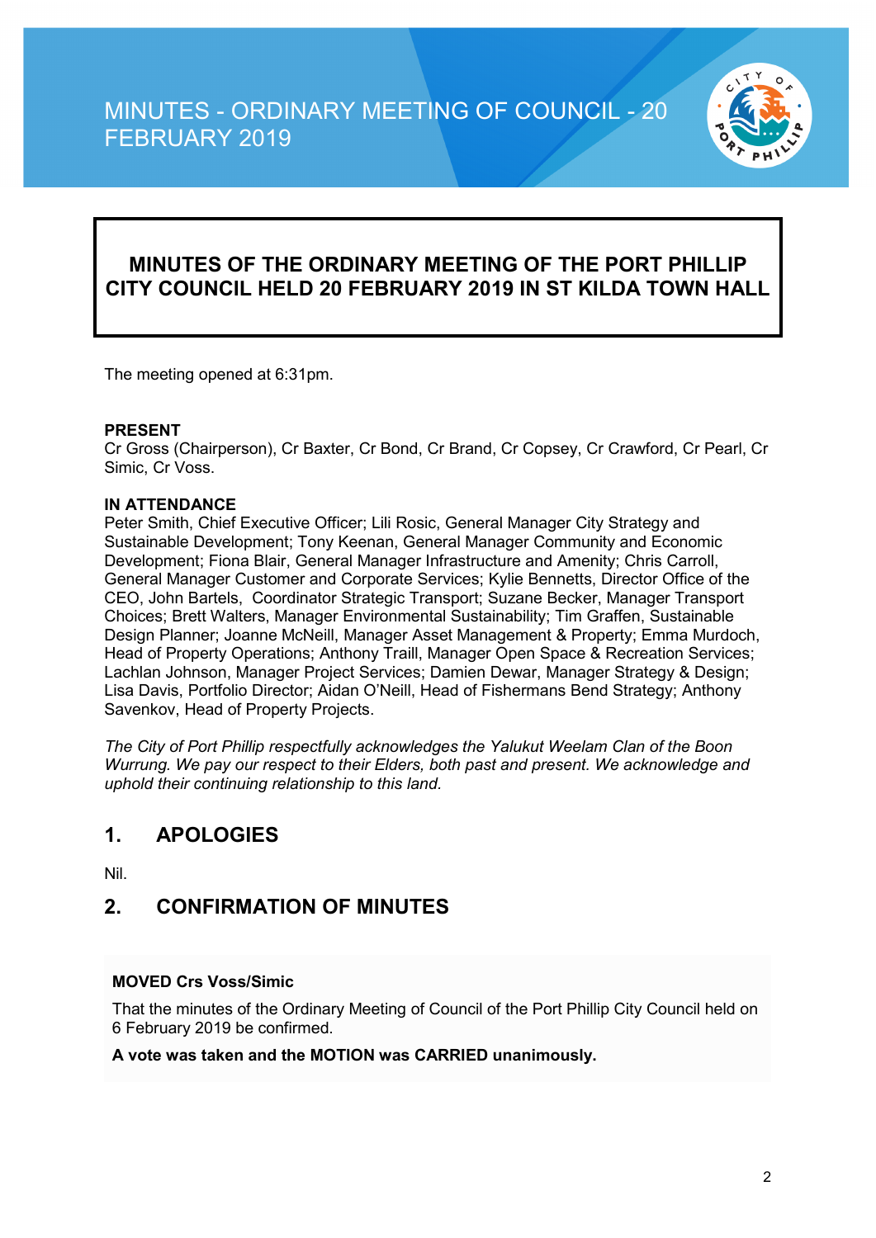

### **MINUTES OF THE ORDINARY MEETING OF THE PORT PHILLIP CITY COUNCIL HELD 20 FEBRUARY 2019 IN ST KILDA TOWN HALL**

The meeting opened at 6:31pm.

#### **PRESENT**

Cr Gross (Chairperson), Cr Baxter, Cr Bond, Cr Brand, Cr Copsey, Cr Crawford, Cr Pearl, Cr Simic, Cr Voss.

#### **IN ATTENDANCE**

Peter Smith, Chief Executive Officer; Lili Rosic, General Manager City Strategy and Sustainable Development; Tony Keenan, General Manager Community and Economic Development; Fiona Blair, General Manager Infrastructure and Amenity; Chris Carroll, General Manager Customer and Corporate Services; Kylie Bennetts, Director Office of the CEO, John Bartels, Coordinator Strategic Transport; Suzane Becker, Manager Transport Choices; Brett Walters, Manager Environmental Sustainability; Tim Graffen, Sustainable Design Planner; Joanne McNeill, Manager Asset Management & Property; Emma Murdoch, Head of Property Operations; Anthony Traill, Manager Open Space & Recreation Services; Lachlan Johnson, Manager Project Services; Damien Dewar, Manager Strategy & Design; Lisa Davis, Portfolio Director; Aidan O'Neill, Head of Fishermans Bend Strategy; Anthony Savenkov, Head of Property Projects.

*The City of Port Phillip respectfully acknowledges the Yalukut Weelam Clan of the Boon Wurrung. We pay our respect to their Elders, both past and present. We acknowledge and uphold their continuing relationship to this land.*

### **1. APOLOGIES**

Nil.

### **2. CONFIRMATION OF MINUTES**

#### **MOVED Crs Voss/Simic**

That the minutes of the Ordinary Meeting of Council of the Port Phillip City Council held on 6 February 2019 be confirmed.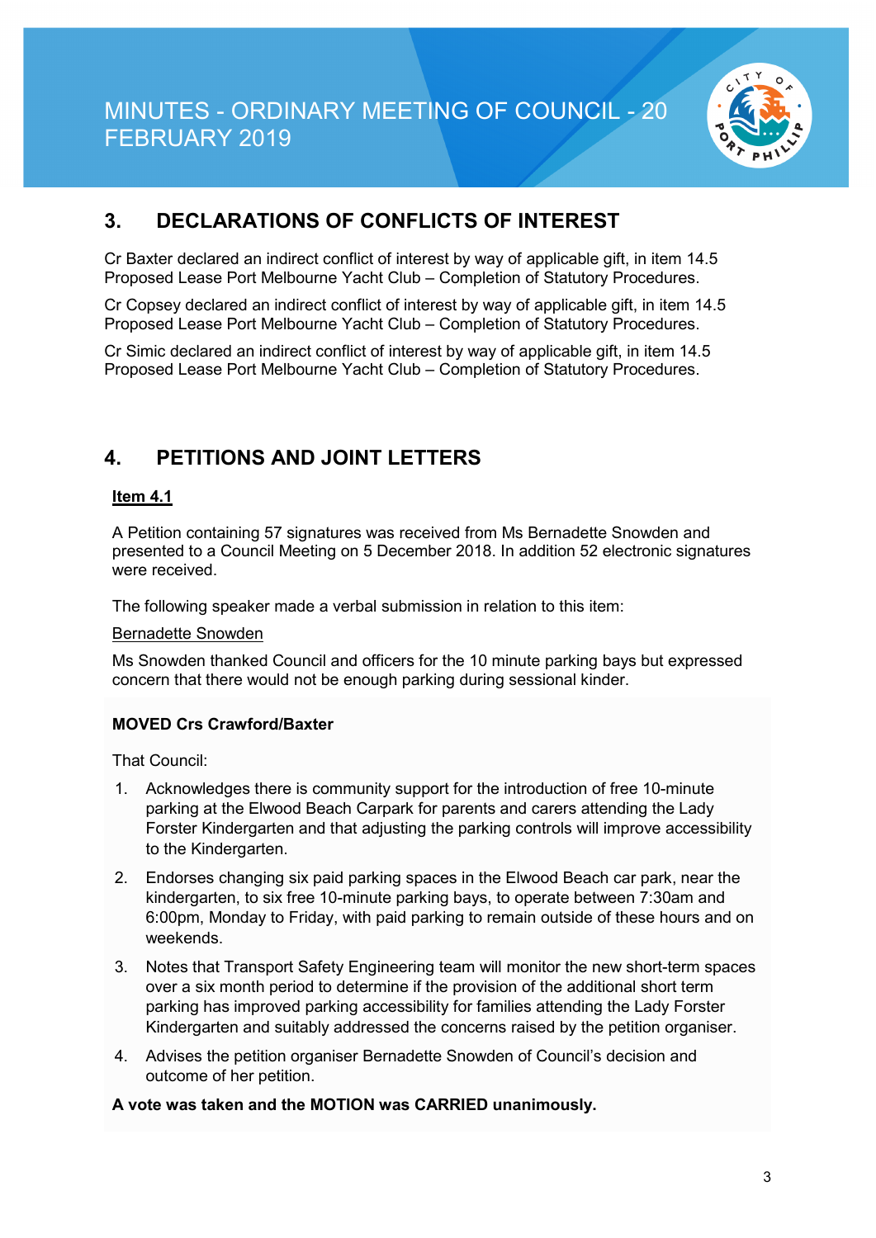

## **3. DECLARATIONS OF CONFLICTS OF INTEREST**

Cr Baxter declared an indirect conflict of interest by way of applicable gift, in item 14.5 Proposed Lease Port Melbourne Yacht Club – Completion of Statutory Procedures.

Cr Copsey declared an indirect conflict of interest by way of applicable gift, in item 14.5 Proposed Lease Port Melbourne Yacht Club – Completion of Statutory Procedures.

Cr Simic declared an indirect conflict of interest by way of applicable gift, in item 14.5 Proposed Lease Port Melbourne Yacht Club – Completion of Statutory Procedures.

## **4. PETITIONS AND JOINT LETTERS**

#### **Item 4.1**

A Petition containing 57 signatures was received from Ms Bernadette Snowden and presented to a Council Meeting on 5 December 2018. In addition 52 electronic signatures were received.

The following speaker made a verbal submission in relation to this item:

#### Bernadette Snowden

Ms Snowden thanked Council and officers for the 10 minute parking bays but expressed concern that there would not be enough parking during sessional kinder.

#### **MOVED Crs Crawford/Baxter**

That Council:

- 1. Acknowledges there is community support for the introduction of free 10-minute parking at the Elwood Beach Carpark for parents and carers attending the Lady Forster Kindergarten and that adjusting the parking controls will improve accessibility to the Kindergarten.
- 2. Endorses changing six paid parking spaces in the Elwood Beach car park, near the kindergarten, to six free 10-minute parking bays, to operate between 7:30am and 6:00pm, Monday to Friday, with paid parking to remain outside of these hours and on weekends.
- 3. Notes that Transport Safety Engineering team will monitor the new short-term spaces over a six month period to determine if the provision of the additional short term parking has improved parking accessibility for families attending the Lady Forster Kindergarten and suitably addressed the concerns raised by the petition organiser.
- 4. Advises the petition organiser Bernadette Snowden of Council's decision and outcome of her petition.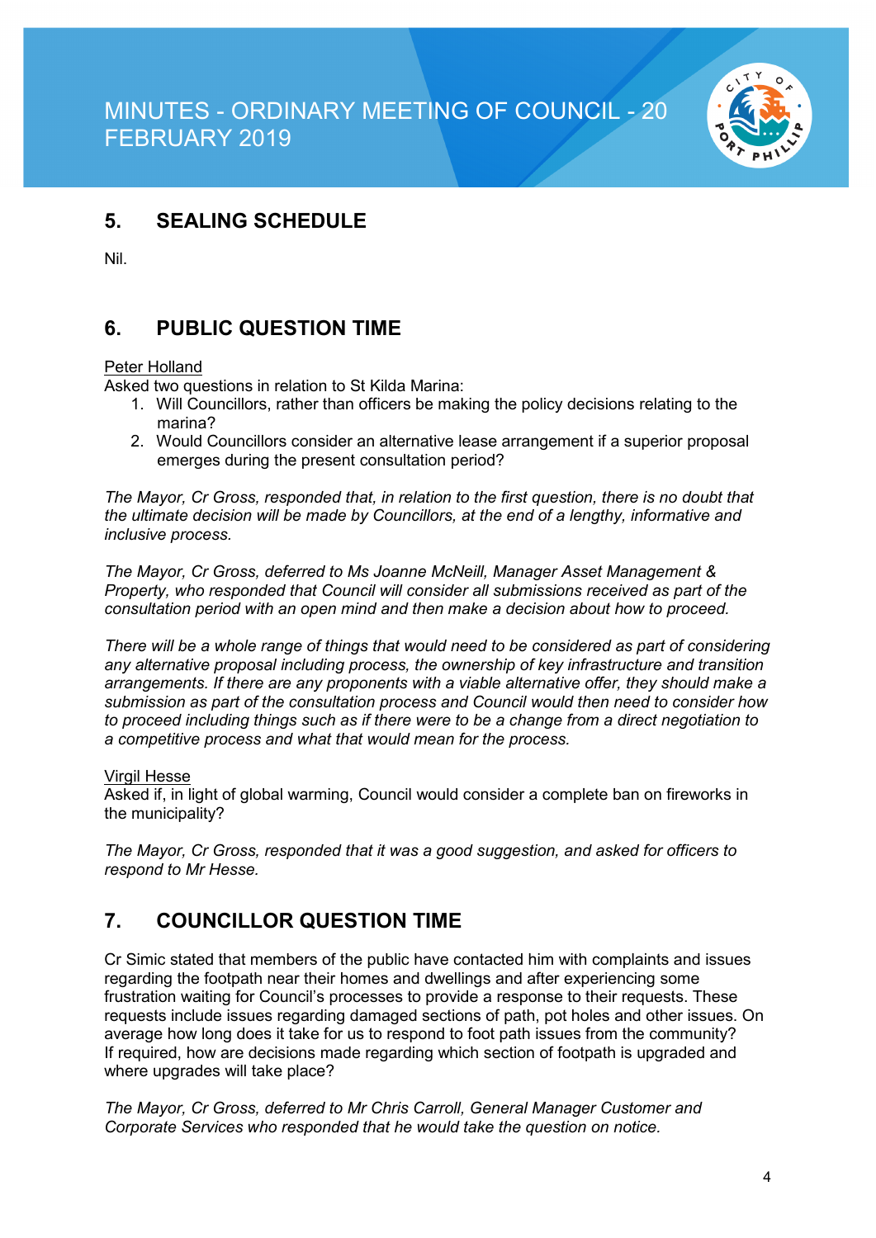

## **5. SEALING SCHEDULE**

Nil.

## **6. PUBLIC QUESTION TIME**

#### Peter Holland

Asked two questions in relation to St Kilda Marina:

- 1. Will Councillors, rather than officers be making the policy decisions relating to the marina?
- 2. Would Councillors consider an alternative lease arrangement if a superior proposal emerges during the present consultation period?

*The Mayor, Cr Gross, responded that, in relation to the first question, there is no doubt that the ultimate decision will be made by Councillors, at the end of a lengthy, informative and inclusive process.*

*The Mayor, Cr Gross, deferred to Ms Joanne McNeill, Manager Asset Management & Property, who responded that Council will consider all submissions received as part of the consultation period with an open mind and then make a decision about how to proceed.*

*There will be a whole range of things that would need to be considered as part of considering any alternative proposal including process, the ownership of key infrastructure and transition arrangements. If there are any proponents with a viable alternative offer, they should make a submission as part of the consultation process and Council would then need to consider how to proceed including things such as if there were to be a change from a direct negotiation to a competitive process and what that would mean for the process.*

#### Virgil Hesse

Asked if, in light of global warming, Council would consider a complete ban on fireworks in the municipality?

*The Mayor, Cr Gross, responded that it was a good suggestion, and asked for officers to respond to Mr Hesse.*

## **7. COUNCILLOR QUESTION TIME**

Cr Simic stated that members of the public have contacted him with complaints and issues regarding the footpath near their homes and dwellings and after experiencing some frustration waiting for Council's processes to provide a response to their requests. These requests include issues regarding damaged sections of path, pot holes and other issues. On average how long does it take for us to respond to foot path issues from the community? If required, how are decisions made regarding which section of footpath is upgraded and where upgrades will take place?

*The Mayor, Cr Gross, deferred to Mr Chris Carroll, General Manager Customer and Corporate Services who responded that he would take the question on notice.*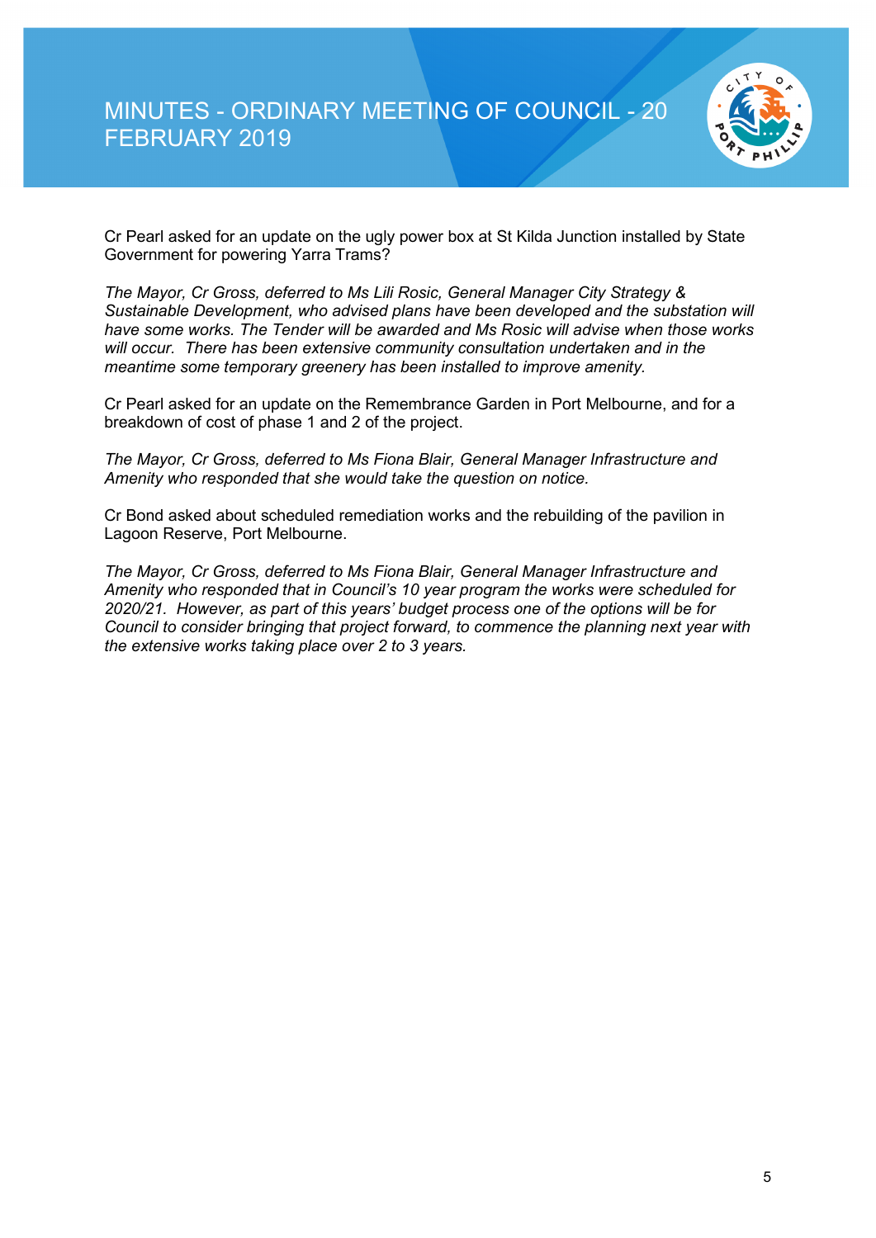

Cr Pearl asked for an update on the ugly power box at St Kilda Junction installed by State Government for powering Yarra Trams?

*The Mayor, Cr Gross, deferred to Ms Lili Rosic, General Manager City Strategy & Sustainable Development, who advised plans have been developed and the substation will have some works. The Tender will be awarded and Ms Rosic will advise when those works will occur. There has been extensive community consultation undertaken and in the meantime some temporary greenery has been installed to improve amenity.*

Cr Pearl asked for an update on the Remembrance Garden in Port Melbourne, and for a breakdown of cost of phase 1 and 2 of the project.

*The Mayor, Cr Gross, deferred to Ms Fiona Blair, General Manager Infrastructure and Amenity who responded that she would take the question on notice.*

Cr Bond asked about scheduled remediation works and the rebuilding of the pavilion in Lagoon Reserve, Port Melbourne.

*The Mayor, Cr Gross, deferred to Ms Fiona Blair, General Manager Infrastructure and Amenity who responded that in Council's 10 year program the works were scheduled for 2020/21. However, as part of this years' budget process one of the options will be for Council to consider bringing that project forward, to commence the planning next year with the extensive works taking place over 2 to 3 years.*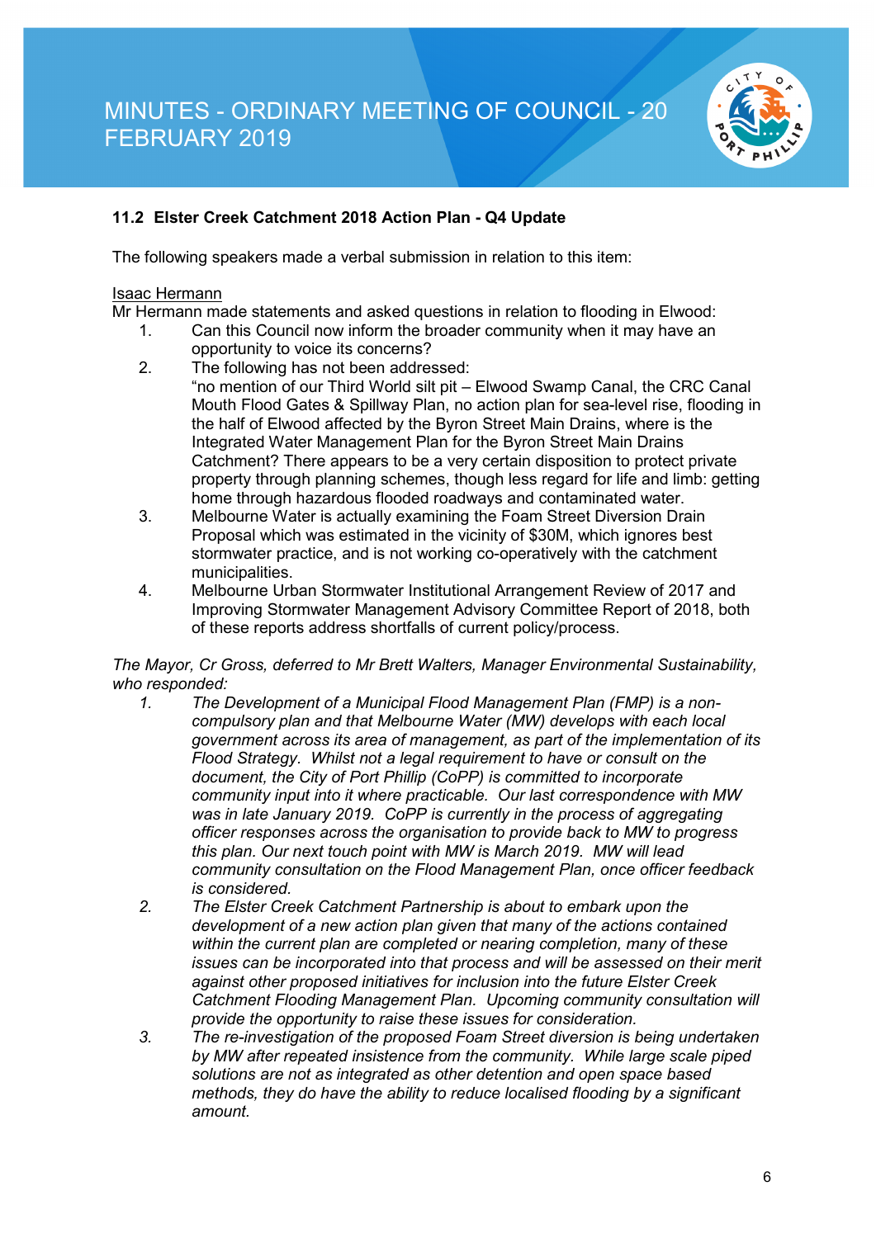

#### **11.2 Elster Creek Catchment 2018 Action Plan - Q4 Update**

The following speakers made a verbal submission in relation to this item:

#### Isaac Hermann

Mr Hermann made statements and asked questions in relation to flooding in Elwood:

- 1. Can this Council now inform the broader community when it may have an opportunity to voice its concerns?
- 2. The following has not been addressed: "no mention of our Third World silt pit – Elwood Swamp Canal, the CRC Canal Mouth Flood Gates & Spillway Plan, no action plan for sea-level rise, flooding in the half of Elwood affected by the Byron Street Main Drains, where is the Integrated Water Management Plan for the Byron Street Main Drains Catchment? There appears to be a very certain disposition to protect private property through planning schemes, though less regard for life and limb: getting home through hazardous flooded roadways and contaminated water.
- 3. Melbourne Water is actually examining the Foam Street Diversion Drain Proposal which was estimated in the vicinity of \$30M, which ignores best stormwater practice, and is not working co-operatively with the catchment municipalities.
- 4. Melbourne Urban Stormwater Institutional Arrangement Review of 2017 and Improving Stormwater Management Advisory Committee Report of 2018, both of these reports address shortfalls of current policy/process.

## *The Mayor, Cr Gross, deferred to Mr Brett Walters, Manager Environmental Sustainability, who responded:*

- *1. The Development of a Municipal Flood Management Plan (FMP) is a noncompulsory plan and that Melbourne Water (MW) develops with each local government across its area of management, as part of the implementation of its Flood Strategy. Whilst not a legal requirement to have or consult on the document, the City of Port Phillip (CoPP) is committed to incorporate community input into it where practicable. Our last correspondence with MW*  was in late January 2019. CoPP is currently in the process of aggregating *officer responses across the organisation to provide back to MW to progress this plan. Our next touch point with MW is March 2019. MW will lead community consultation on the Flood Management Plan, once officer feedback is considered.*
- *2. The Elster Creek Catchment Partnership is about to embark upon the development of a new action plan given that many of the actions contained within the current plan are completed or nearing completion, many of these issues can be incorporated into that process and will be assessed on their merit against other proposed initiatives for inclusion into the future Elster Creek Catchment Flooding Management Plan. Upcoming community consultation will provide the opportunity to raise these issues for consideration.*
- *3. The re-investigation of the proposed Foam Street diversion is being undertaken by MW after repeated insistence from the community. While large scale piped solutions are not as integrated as other detention and open space based methods, they do have the ability to reduce localised flooding by a significant amount.*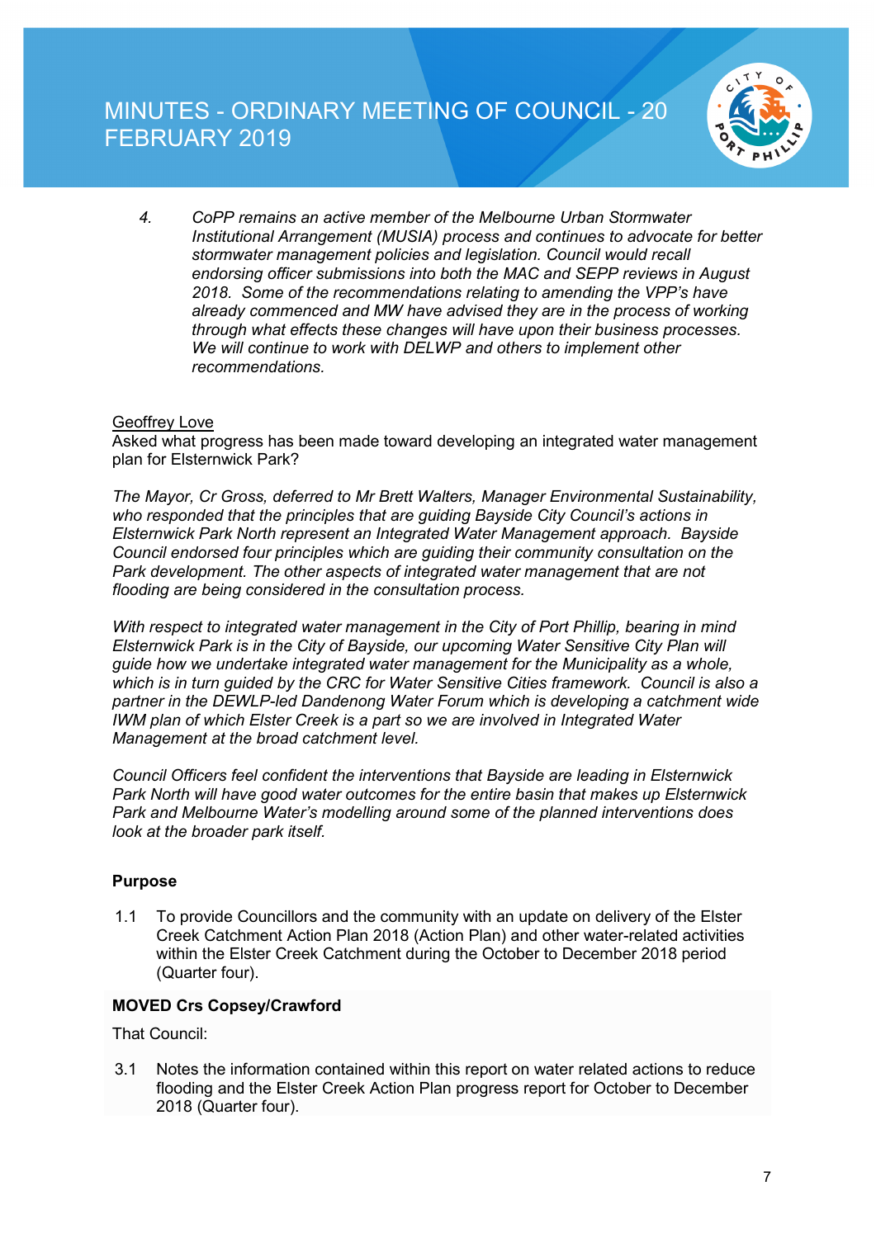

*4. CoPP remains an active member of the Melbourne Urban Stormwater Institutional Arrangement (MUSIA) process and continues to advocate for better stormwater management policies and legislation. Council would recall endorsing officer submissions into both the MAC and SEPP reviews in August 2018. Some of the recommendations relating to amending the VPP's have already commenced and MW have advised they are in the process of working through what effects these changes will have upon their business processes. We will continue to work with DELWP and others to implement other recommendations.*

#### Geoffrey Love

Asked what progress has been made toward developing an integrated water management plan for Elsternwick Park?

*The Mayor, Cr Gross, deferred to Mr Brett Walters, Manager Environmental Sustainability, who responded that the principles that are guiding Bayside City Council's actions in Elsternwick Park North represent an Integrated Water Management approach. Bayside Council endorsed four principles which are guiding their community consultation on the Park development. The other aspects of integrated water management that are not flooding are being considered in the consultation process.* 

*With respect to integrated water management in the City of Port Phillip, bearing in mind Elsternwick Park is in the City of Bayside, our upcoming Water Sensitive City Plan will guide how we undertake integrated water management for the Municipality as a whole, which is in turn guided by the CRC for Water Sensitive Cities framework. Council is also a partner in the DEWLP-led Dandenong Water Forum which is developing a catchment wide IWM plan of which Elster Creek is a part so we are involved in Integrated Water Management at the broad catchment level.* 

*Council Officers feel confident the interventions that Bayside are leading in Elsternwick Park North will have good water outcomes for the entire basin that makes up Elsternwick Park and Melbourne Water's modelling around some of the planned interventions does look at the broader park itself.*

#### **Purpose**

1.1 To provide Councillors and the community with an update on delivery of the Elster Creek Catchment Action Plan 2018 (Action Plan) and other water-related activities within the Elster Creek Catchment during the October to December 2018 period (Quarter four).

#### **MOVED Crs Copsey/Crawford**

That Council:

3.1 Notes the information contained within this report on water related actions to reduce flooding and the Elster Creek Action Plan progress report for October to December 2018 (Quarter four).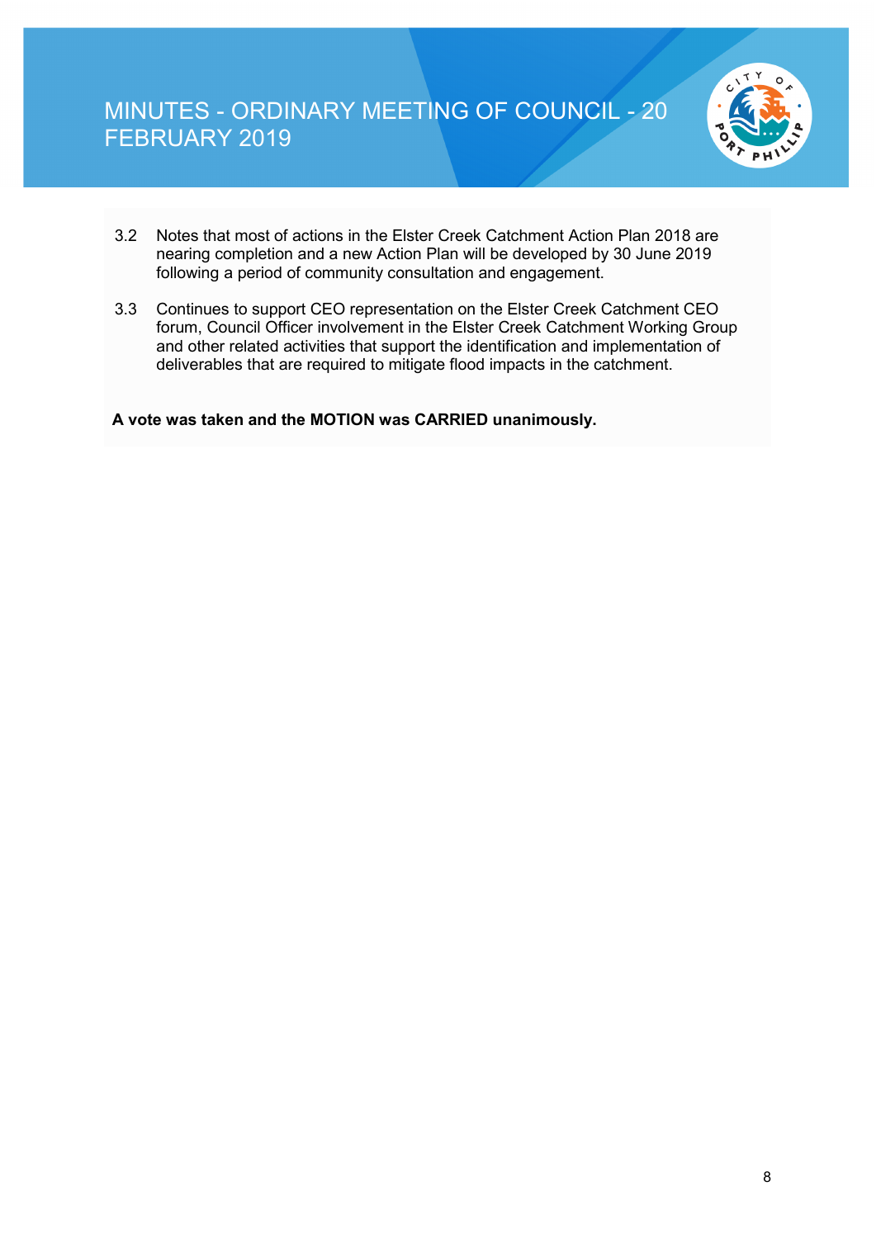

- 3.2 Notes that most of actions in the Elster Creek Catchment Action Plan 2018 are nearing completion and a new Action Plan will be developed by 30 June 2019 following a period of community consultation and engagement.
- 3.3 Continues to support CEO representation on the Elster Creek Catchment CEO forum, Council Officer involvement in the Elster Creek Catchment Working Group and other related activities that support the identification and implementation of deliverables that are required to mitigate flood impacts in the catchment.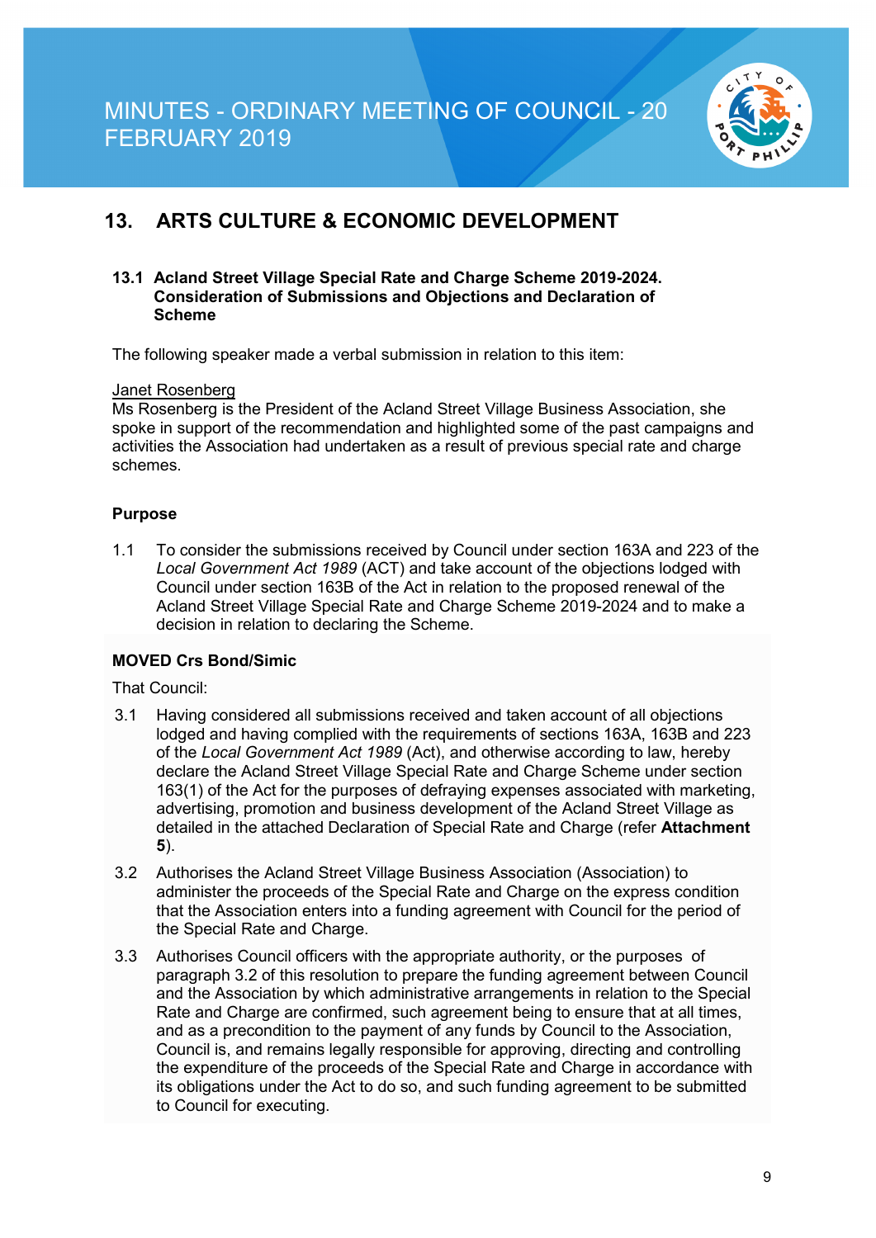

## **13. ARTS CULTURE & ECONOMIC DEVELOPMENT**

#### **13.1 Acland Street Village Special Rate and Charge Scheme 2019-2024. Consideration of Submissions and Objections and Declaration of Scheme**

The following speaker made a verbal submission in relation to this item:

#### Janet Rosenberg

Ms Rosenberg is the President of the Acland Street Village Business Association, she spoke in support of the recommendation and highlighted some of the past campaigns and activities the Association had undertaken as a result of previous special rate and charge schemes.

#### **Purpose**

1.1 To consider the submissions received by Council under section 163A and 223 of the *Local Government Act 1989* (ACT) and take account of the objections lodged with Council under section 163B of the Act in relation to the proposed renewal of the Acland Street Village Special Rate and Charge Scheme 2019-2024 and to make a decision in relation to declaring the Scheme.

#### **MOVED Crs Bond/Simic**

That Council:

- 3.1 Having considered all submissions received and taken account of all objections lodged and having complied with the requirements of sections 163A, 163B and 223 of the *Local Government Act 1989* (Act), and otherwise according to law, hereby declare the Acland Street Village Special Rate and Charge Scheme under section 163(1) of the Act for the purposes of defraying expenses associated with marketing, advertising, promotion and business development of the Acland Street Village as detailed in the attached Declaration of Special Rate and Charge (refer **Attachment 5**).
- 3.2 Authorises the Acland Street Village Business Association (Association) to administer the proceeds of the Special Rate and Charge on the express condition that the Association enters into a funding agreement with Council for the period of the Special Rate and Charge.
- 3.3 Authorises Council officers with the appropriate authority, or the purposes of paragraph 3.2 of this resolution to prepare the funding agreement between Council and the Association by which administrative arrangements in relation to the Special Rate and Charge are confirmed, such agreement being to ensure that at all times, and as a precondition to the payment of any funds by Council to the Association, Council is, and remains legally responsible for approving, directing and controlling the expenditure of the proceeds of the Special Rate and Charge in accordance with its obligations under the Act to do so, and such funding agreement to be submitted to Council for executing.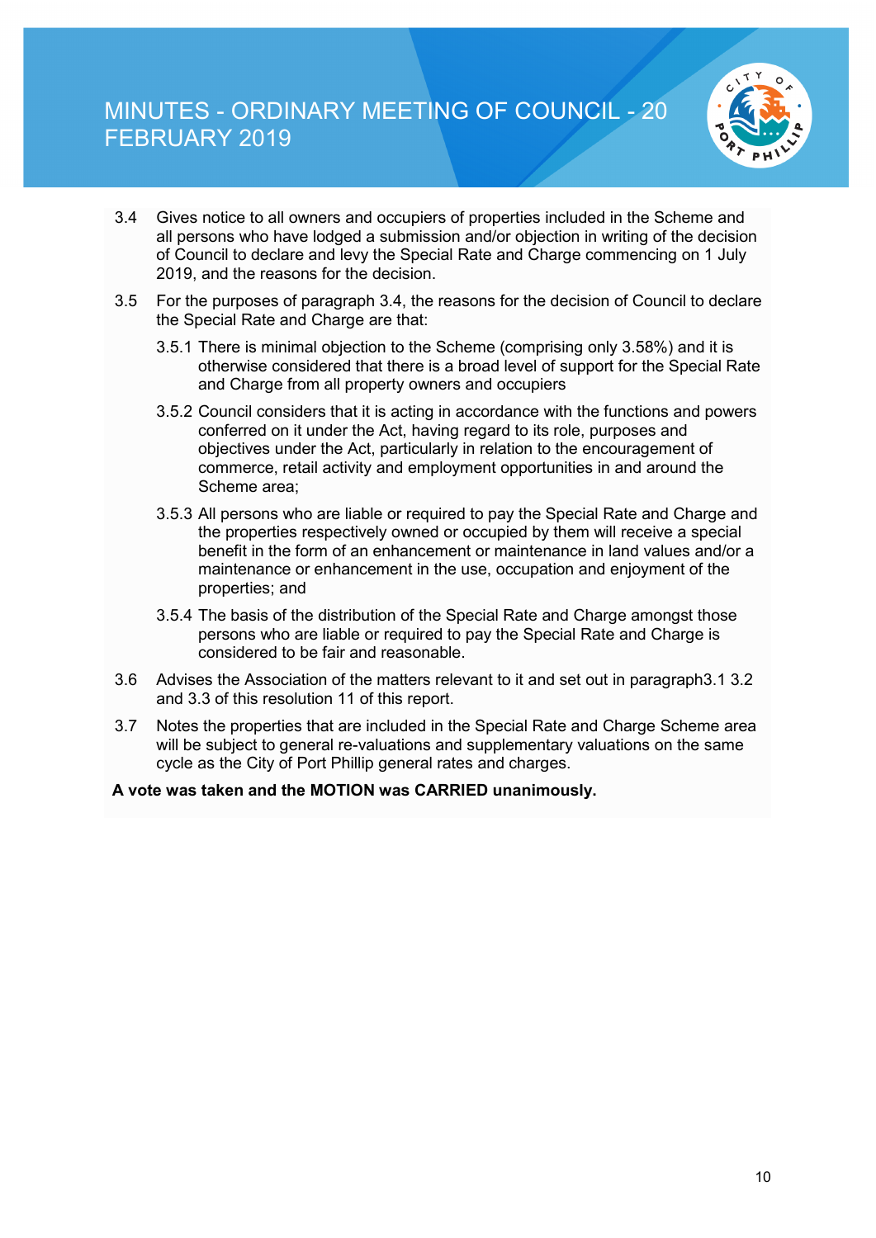

- 3.4 Gives notice to all owners and occupiers of properties included in the Scheme and all persons who have lodged a submission and/or objection in writing of the decision of Council to declare and levy the Special Rate and Charge commencing on 1 July 2019, and the reasons for the decision.
- 3.5 For the purposes of paragraph 3.4, the reasons for the decision of Council to declare the Special Rate and Charge are that:
	- 3.5.1 There is minimal objection to the Scheme (comprising only 3.58%) and it is otherwise considered that there is a broad level of support for the Special Rate and Charge from all property owners and occupiers
	- 3.5.2 Council considers that it is acting in accordance with the functions and powers conferred on it under the Act, having regard to its role, purposes and objectives under the Act, particularly in relation to the encouragement of commerce, retail activity and employment opportunities in and around the Scheme area;
	- 3.5.3 All persons who are liable or required to pay the Special Rate and Charge and the properties respectively owned or occupied by them will receive a special benefit in the form of an enhancement or maintenance in land values and/or a maintenance or enhancement in the use, occupation and enjoyment of the properties; and
	- 3.5.4 The basis of the distribution of the Special Rate and Charge amongst those persons who are liable or required to pay the Special Rate and Charge is considered to be fair and reasonable.
- 3.6 Advises the Association of the matters relevant to it and set out in paragraph3.1 3.2 and 3.3 of this resolution 11 of this report.
- 3.7 Notes the properties that are included in the Special Rate and Charge Scheme area will be subject to general re-valuations and supplementary valuations on the same cycle as the City of Port Phillip general rates and charges.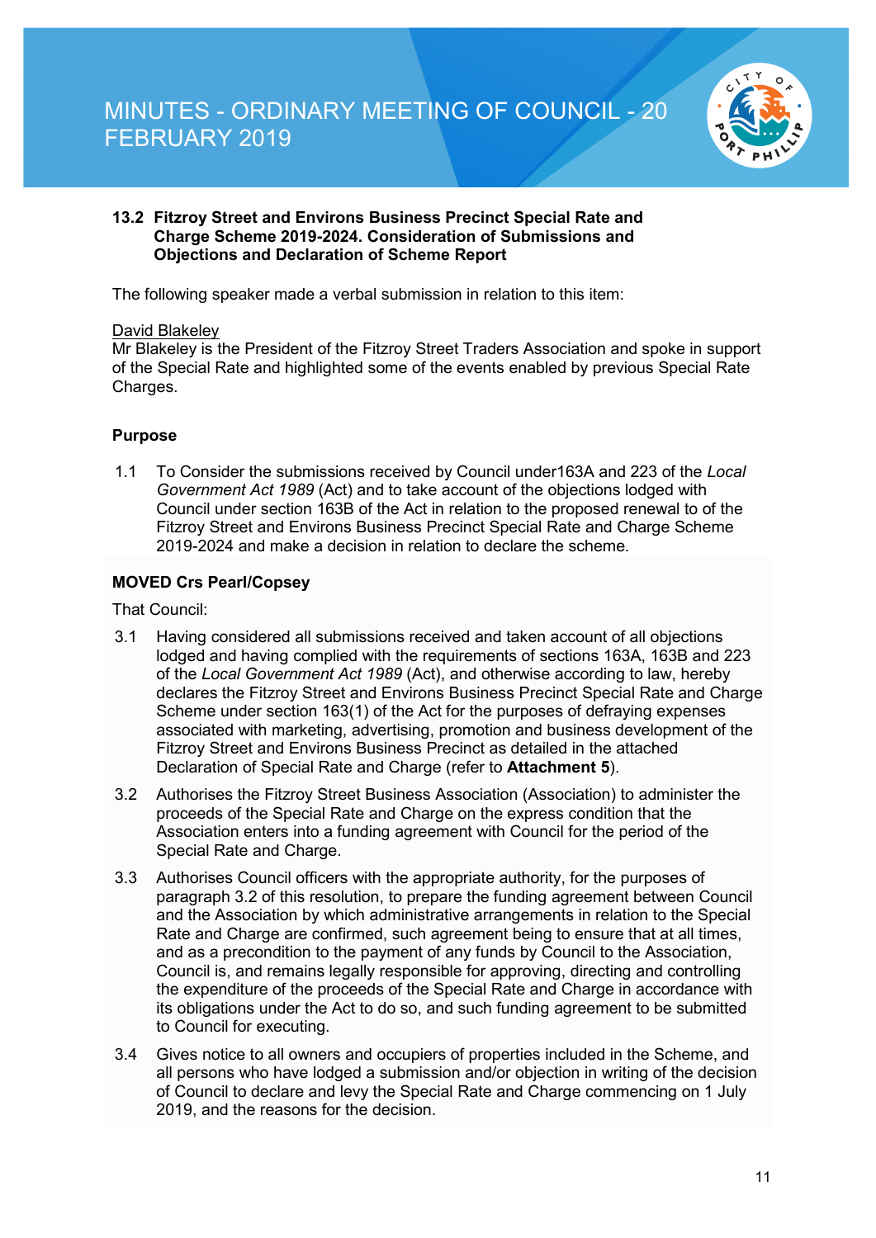

#### **13.2 Fitzroy Street and Environs Business Precinct Special Rate and Charge Scheme 2019-2024. Consideration of Submissions and Objections and Declaration of Scheme Report**

The following speaker made a verbal submission in relation to this item:

#### David Blakeley

Mr Blakeley is the President of the Fitzroy Street Traders Association and spoke in support of the Special Rate and highlighted some of the events enabled by previous Special Rate Charges.

#### **Purpose**

1.1 To Consider the submissions received by Council under163A and 223 of the *Local Government Act 1989* (Act) and to take account of the objections lodged with Council under section 163B of the Act in relation to the proposed renewal to of the Fitzroy Street and Environs Business Precinct Special Rate and Charge Scheme 2019-2024 and make a decision in relation to declare the scheme.

#### **MOVED Crs Pearl/Copsey**

That Council:

- 3.1 Having considered all submissions received and taken account of all objections lodged and having complied with the requirements of sections 163A, 163B and 223 of the *Local Government Act 1989* (Act), and otherwise according to law, hereby declares the Fitzroy Street and Environs Business Precinct Special Rate and Charge Scheme under section 163(1) of the Act for the purposes of defraying expenses associated with marketing, advertising, promotion and business development of the Fitzroy Street and Environs Business Precinct as detailed in the attached Declaration of Special Rate and Charge (refer to **Attachment 5**).
- 3.2 Authorises the Fitzroy Street Business Association (Association) to administer the proceeds of the Special Rate and Charge on the express condition that the Association enters into a funding agreement with Council for the period of the Special Rate and Charge.
- 3.3 Authorises Council officers with the appropriate authority, for the purposes of paragraph 3.2 of this resolution, to prepare the funding agreement between Council and the Association by which administrative arrangements in relation to the Special Rate and Charge are confirmed, such agreement being to ensure that at all times, and as a precondition to the payment of any funds by Council to the Association, Council is, and remains legally responsible for approving, directing and controlling the expenditure of the proceeds of the Special Rate and Charge in accordance with its obligations under the Act to do so, and such funding agreement to be submitted to Council for executing.
- 3.4 Gives notice to all owners and occupiers of properties included in the Scheme, and all persons who have lodged a submission and/or objection in writing of the decision of Council to declare and levy the Special Rate and Charge commencing on 1 July 2019, and the reasons for the decision.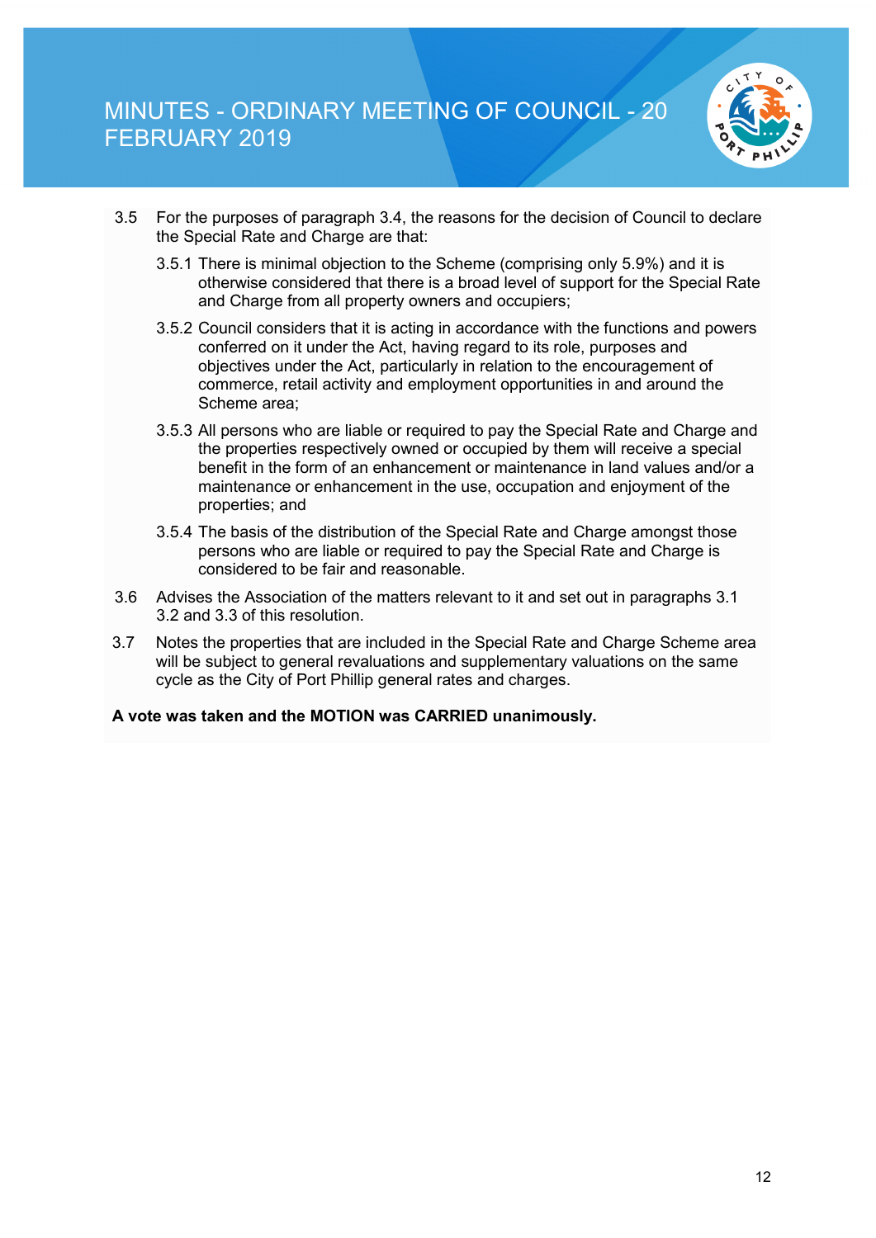

- 3.5 For the purposes of paragraph 3.4, the reasons for the decision of Council to declare the Special Rate and Charge are that:
	- 3.5.1 There is minimal objection to the Scheme (comprising only 5.9%) and it is otherwise considered that there is a broad level of support for the Special Rate and Charge from all property owners and occupiers;
	- 3.5.2 Council considers that it is acting in accordance with the functions and powers conferred on it under the Act, having regard to its role, purposes and objectives under the Act, particularly in relation to the encouragement of commerce, retail activity and employment opportunities in and around the Scheme area;
	- 3.5.3 All persons who are liable or required to pay the Special Rate and Charge and the properties respectively owned or occupied by them will receive a special benefit in the form of an enhancement or maintenance in land values and/or a maintenance or enhancement in the use, occupation and enjoyment of the properties; and
	- 3.5.4 The basis of the distribution of the Special Rate and Charge amongst those persons who are liable or required to pay the Special Rate and Charge is considered to be fair and reasonable.
- 3.6 Advises the Association of the matters relevant to it and set out in paragraphs 3.1 3.2 and 3.3 of this resolution.
- 3.7 Notes the properties that are included in the Special Rate and Charge Scheme area will be subject to general revaluations and supplementary valuations on the same cycle as the City of Port Phillip general rates and charges.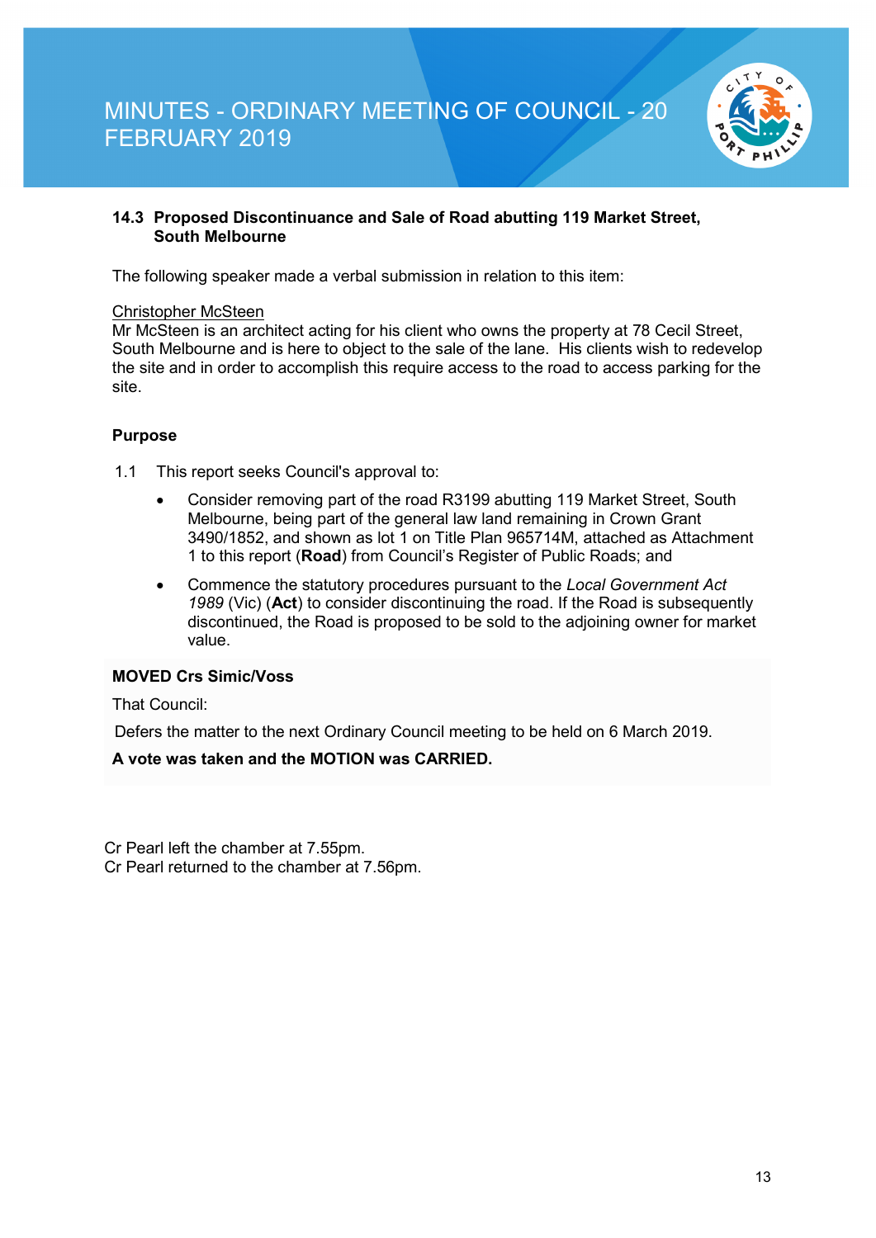

#### **14.3 Proposed Discontinuance and Sale of Road abutting 119 Market Street, South Melbourne**

The following speaker made a verbal submission in relation to this item:

#### Christopher McSteen

Mr McSteen is an architect acting for his client who owns the property at 78 Cecil Street, South Melbourne and is here to object to the sale of the lane. His clients wish to redevelop the site and in order to accomplish this require access to the road to access parking for the site.

#### **Purpose**

1.1 This report seeks Council's approval to:

- Consider removing part of the road R3199 abutting 119 Market Street, South Melbourne, being part of the general law land remaining in Crown Grant 3490/1852, and shown as lot 1 on Title Plan 965714M, attached as Attachment 1 to this report (**Road**) from Council's Register of Public Roads; and
- Commence the statutory procedures pursuant to the *Local Government Act 1989* (Vic) (**Act**) to consider discontinuing the road. If the Road is subsequently discontinued, the Road is proposed to be sold to the adjoining owner for market value.

#### **MOVED Crs Simic/Voss**

That Council:

Defers the matter to the next Ordinary Council meeting to be held on 6 March 2019.

#### **A vote was taken and the MOTION was CARRIED.**

Cr Pearl left the chamber at 7.55pm. Cr Pearl returned to the chamber at 7.56pm.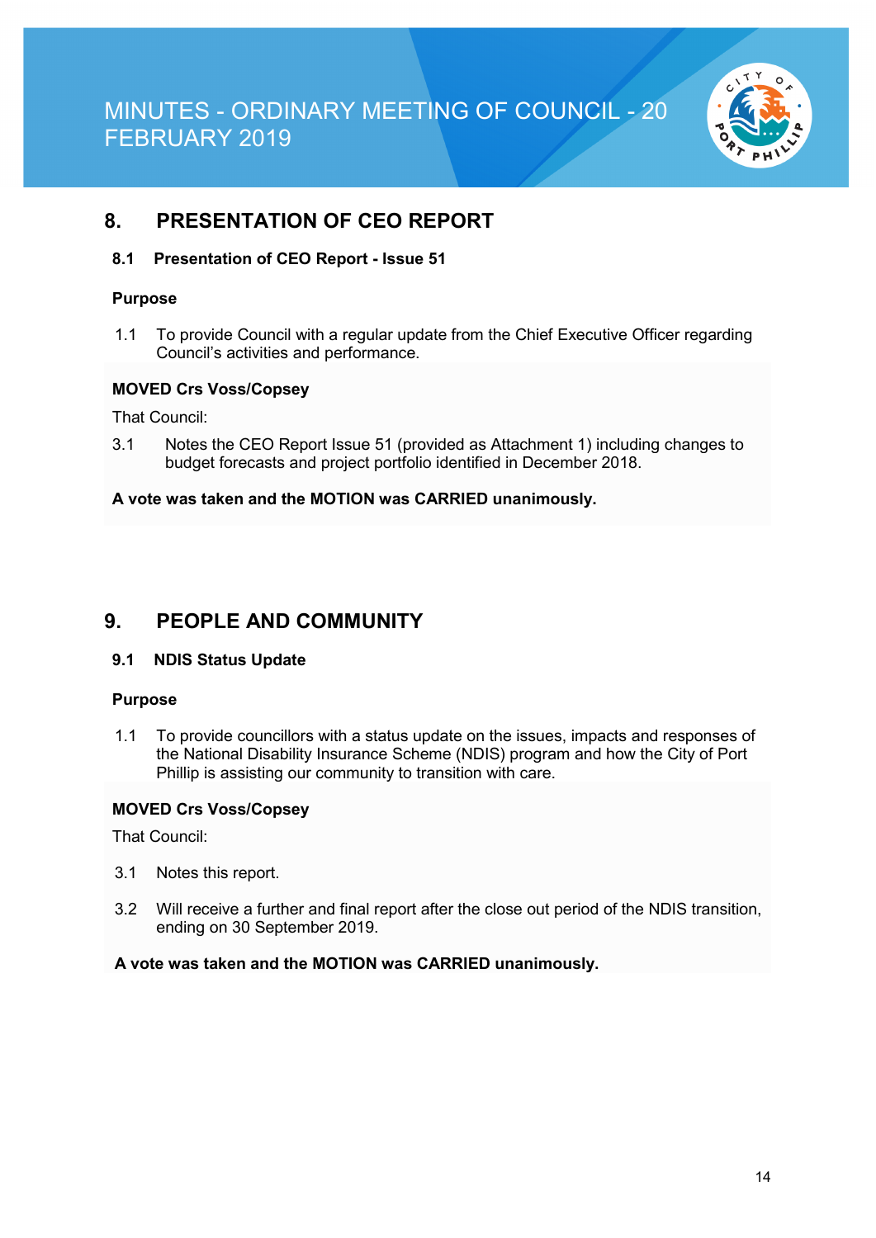

## **8. PRESENTATION OF CEO REPORT**

#### **8.1 Presentation of CEO Report - Issue 51**

#### **Purpose**

1.1 To provide Council with a regular update from the Chief Executive Officer regarding Council's activities and performance.

#### **MOVED Crs Voss/Copsey**

That Council:

3.1 Notes the CEO Report Issue 51 (provided as Attachment 1) including changes to budget forecasts and project portfolio identified in December 2018.

#### **A vote was taken and the MOTION was CARRIED unanimously.**

### **9. PEOPLE AND COMMUNITY**

#### **9.1 NDIS Status Update**

#### **Purpose**

1.1 To provide councillors with a status update on the issues, impacts and responses of the National Disability Insurance Scheme (NDIS) program and how the City of Port Phillip is assisting our community to transition with care.

#### **MOVED Crs Voss/Copsey**

That Council:

- 3.1 Notes this report.
- 3.2 Will receive a further and final report after the close out period of the NDIS transition, ending on 30 September 2019.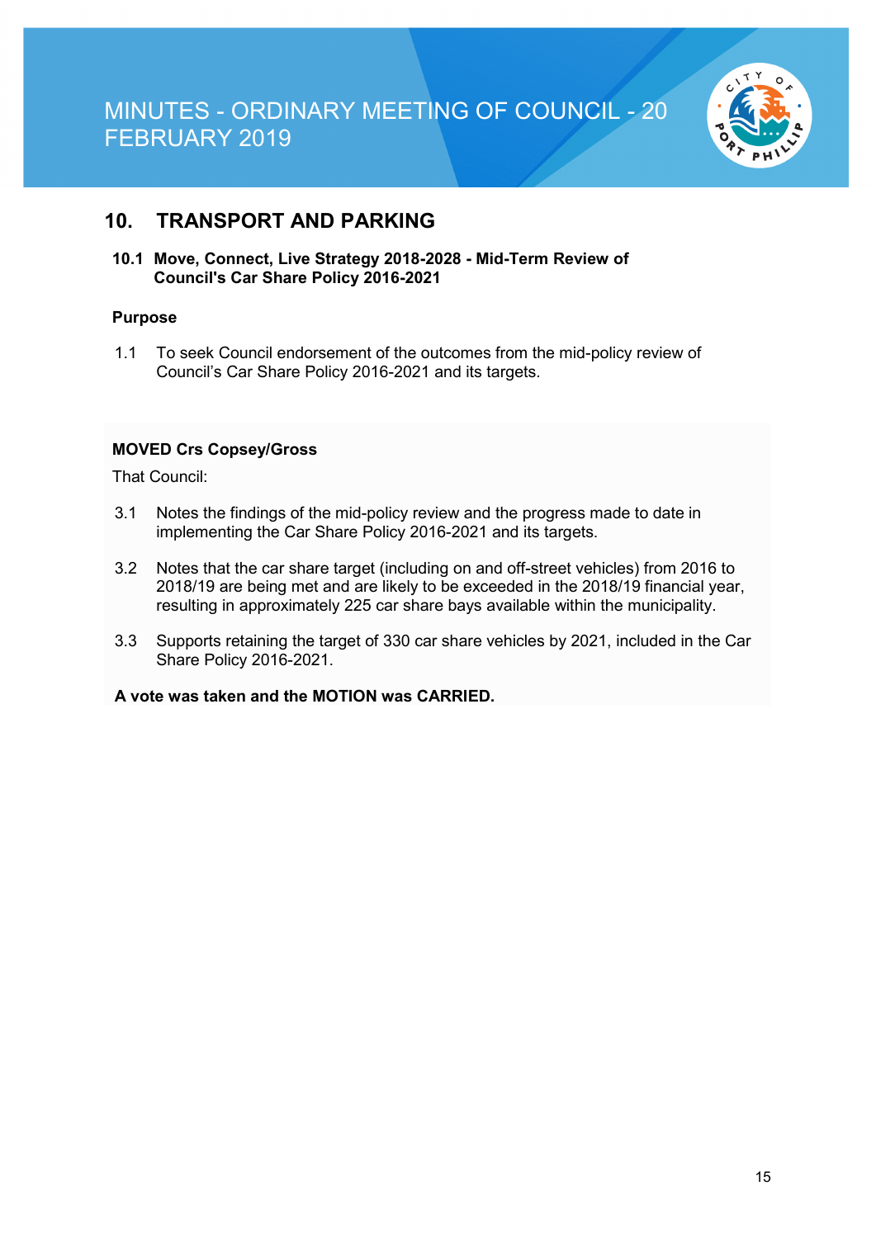

### **10. TRANSPORT AND PARKING**

**10.1 Move, Connect, Live Strategy 2018-2028 - Mid-Term Review of Council's Car Share Policy 2016-2021**

#### **Purpose**

1.1 To seek Council endorsement of the outcomes from the mid-policy review of Council's Car Share Policy 2016-2021 and its targets.

#### **MOVED Crs Copsey/Gross**

That Council:

- 3.1 Notes the findings of the mid-policy review and the progress made to date in implementing the Car Share Policy 2016-2021 and its targets.
- 3.2 Notes that the car share target (including on and off-street vehicles) from 2016 to 2018/19 are being met and are likely to be exceeded in the 2018/19 financial year, resulting in approximately 225 car share bays available within the municipality.
- 3.3 Supports retaining the target of 330 car share vehicles by 2021, included in the Car Share Policy 2016-2021.

#### **A vote was taken and the MOTION was CARRIED.**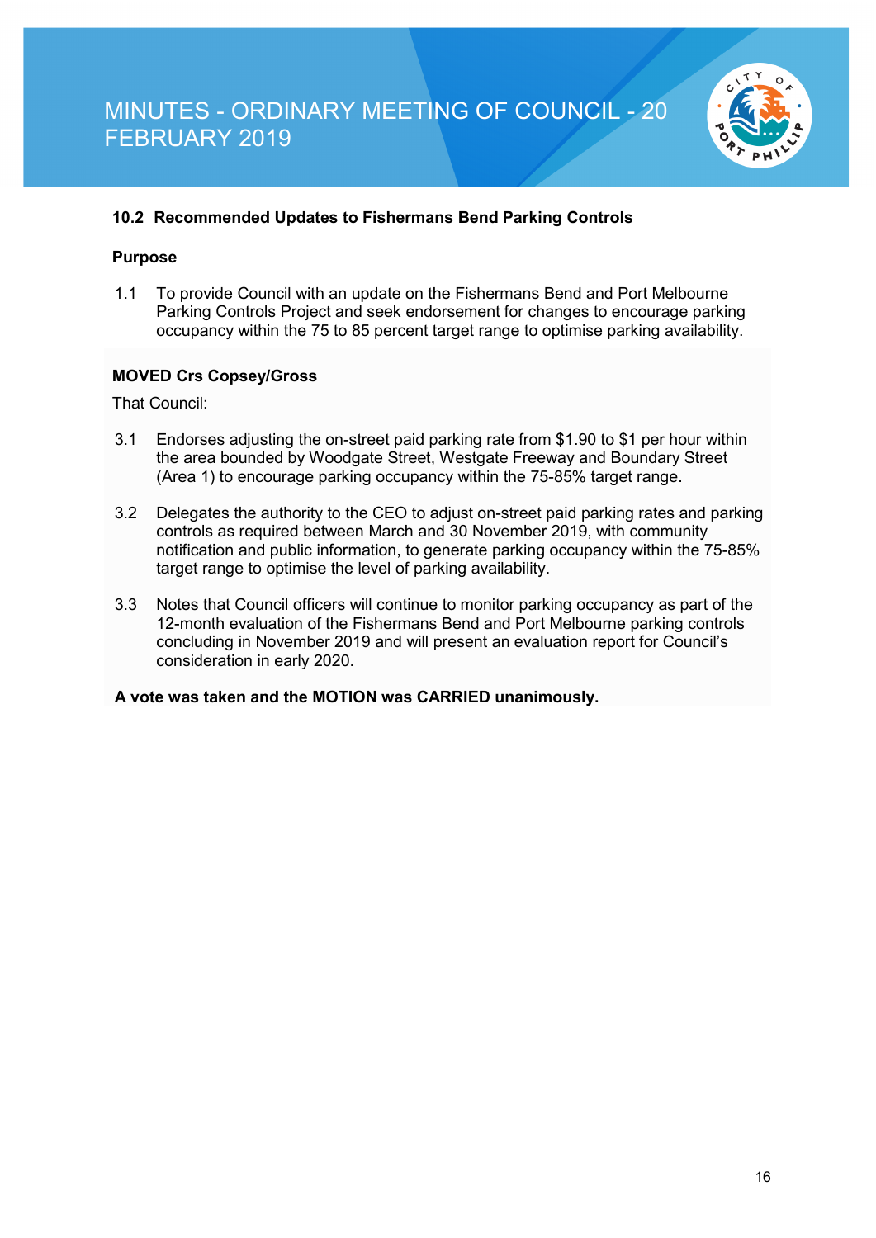

#### **10.2 Recommended Updates to Fishermans Bend Parking Controls**

#### **Purpose**

1.1 To provide Council with an update on the Fishermans Bend and Port Melbourne Parking Controls Project and seek endorsement for changes to encourage parking occupancy within the 75 to 85 percent target range to optimise parking availability.

#### **MOVED Crs Copsey/Gross**

That Council:

- 3.1 Endorses adjusting the on-street paid parking rate from \$1.90 to \$1 per hour within the area bounded by Woodgate Street, Westgate Freeway and Boundary Street (Area 1) to encourage parking occupancy within the 75-85% target range.
- 3.2 Delegates the authority to the CEO to adjust on-street paid parking rates and parking controls as required between March and 30 November 2019, with community notification and public information, to generate parking occupancy within the 75-85% target range to optimise the level of parking availability.
- 3.3 Notes that Council officers will continue to monitor parking occupancy as part of the 12-month evaluation of the Fishermans Bend and Port Melbourne parking controls concluding in November 2019 and will present an evaluation report for Council's consideration in early 2020.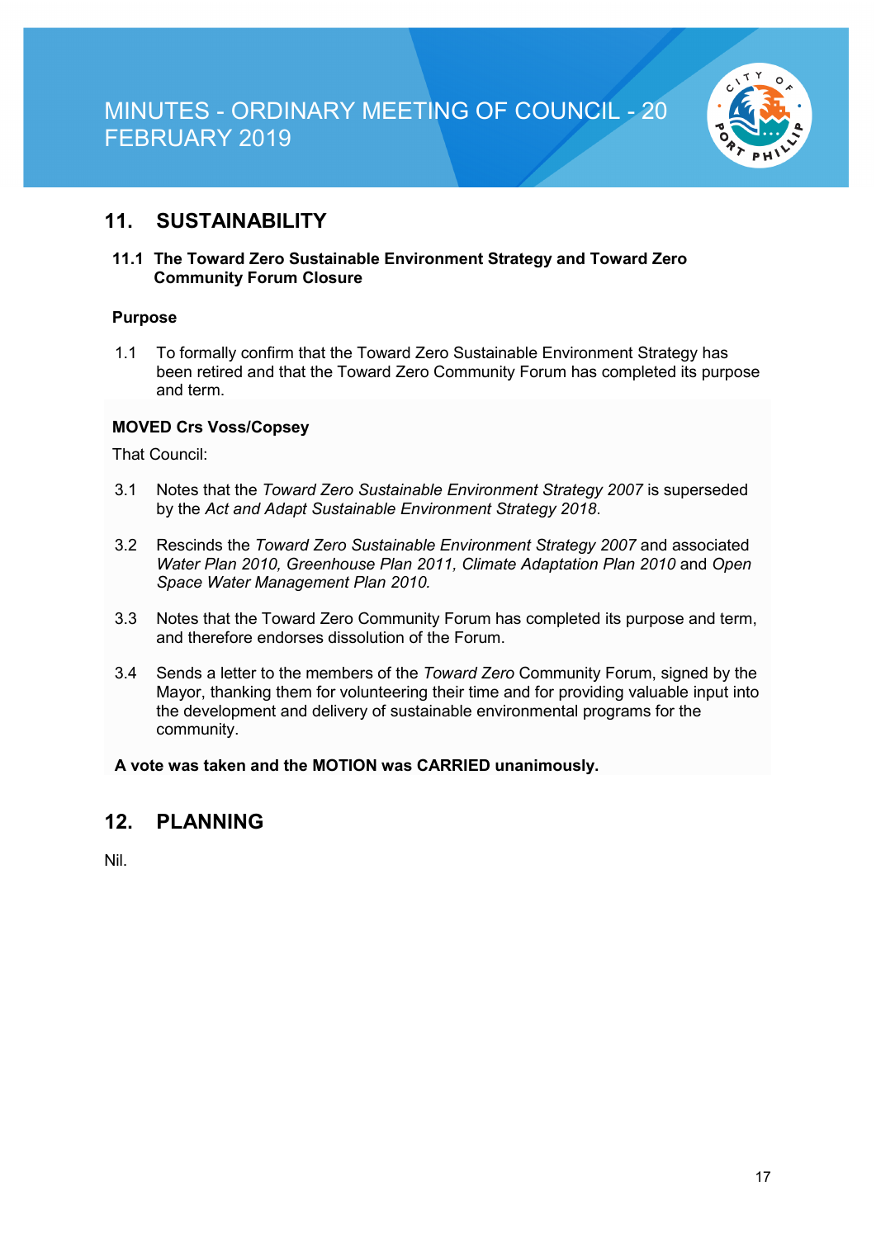

## **11. SUSTAINABILITY**

#### **11.1 The Toward Zero Sustainable Environment Strategy and Toward Zero Community Forum Closure**

#### **Purpose**

1.1 To formally confirm that the Toward Zero Sustainable Environment Strategy has been retired and that the Toward Zero Community Forum has completed its purpose and term.

#### **MOVED Crs Voss/Copsey**

That Council:

- 3.1 Notes that the *Toward Zero Sustainable Environment Strategy 2007* is superseded by the *Act and Adapt Sustainable Environment Strategy 2018*.
- 3.2 Rescinds the *Toward Zero Sustainable Environment Strategy 2007* and associated *Water Plan 2010, Greenhouse Plan 2011, Climate Adaptation Plan 2010* and *Open Space Water Management Plan 2010.*
- 3.3 Notes that the Toward Zero Community Forum has completed its purpose and term, and therefore endorses dissolution of the Forum.
- 3.4 Sends a letter to the members of the *Toward Zero* Community Forum, signed by the Mayor, thanking them for volunteering their time and for providing valuable input into the development and delivery of sustainable environmental programs for the community.

**A vote was taken and the MOTION was CARRIED unanimously.**

### **12. PLANNING**

Nil.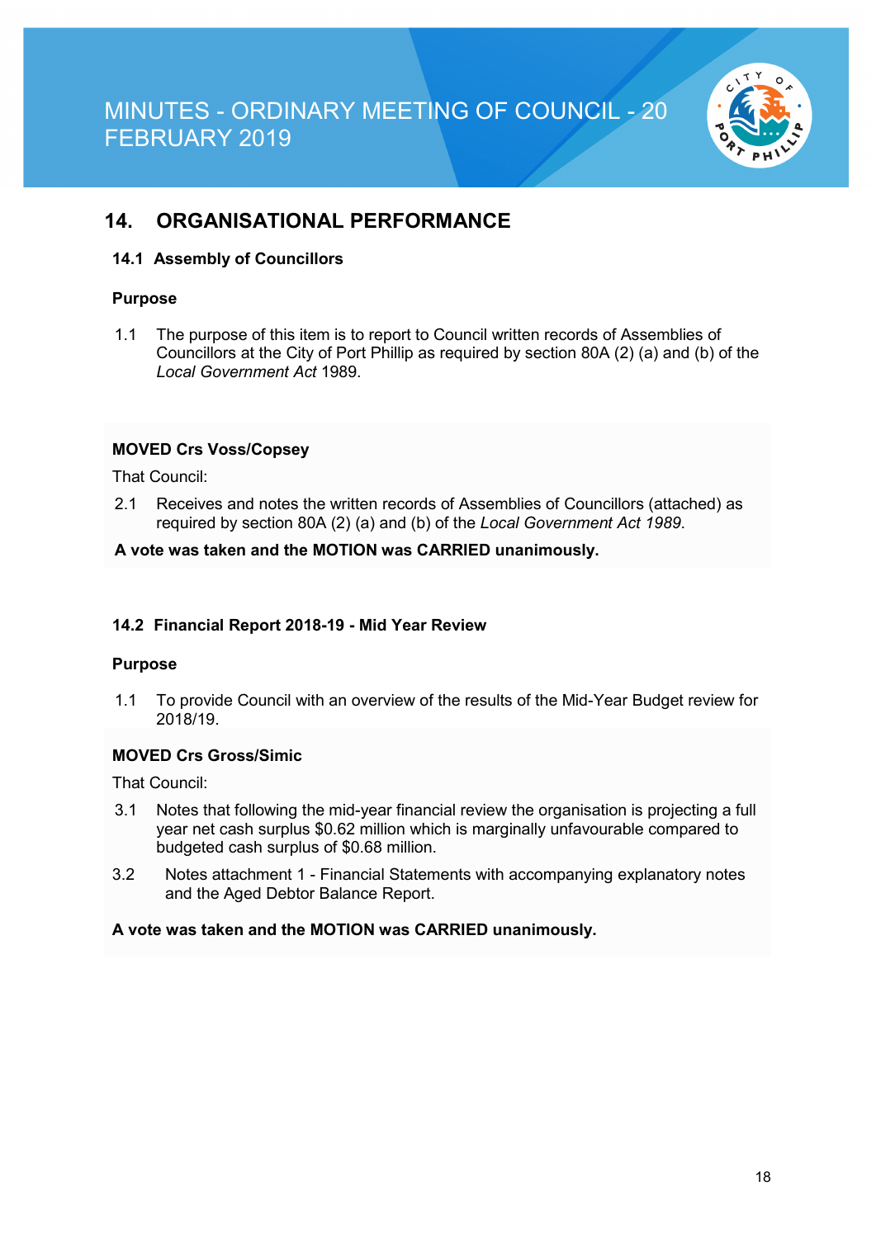

### **14. ORGANISATIONAL PERFORMANCE**

#### **14.1 Assembly of Councillors**

#### **Purpose**

1.1 The purpose of this item is to report to Council written records of Assemblies of Councillors at the City of Port Phillip as required by section 80A (2) (a) and (b) of the *Local Government Act* 1989.

#### **MOVED Crs Voss/Copsey**

That Council:

2.1 Receives and notes the written records of Assemblies of Councillors (attached) as required by section 80A (2) (a) and (b) of the *Local Government Act 1989*.

#### **A vote was taken and the MOTION was CARRIED unanimously.**

#### **14.2 Financial Report 2018-19 - Mid Year Review**

#### **Purpose**

1.1 To provide Council with an overview of the results of the Mid-Year Budget review for 2018/19.

#### **MOVED Crs Gross/Simic**

That Council:

- 3.1 Notes that following the mid-year financial review the organisation is projecting a full year net cash surplus \$0.62 million which is marginally unfavourable compared to budgeted cash surplus of \$0.68 million.
- 3.2 Notes attachment 1 Financial Statements with accompanying explanatory notes and the Aged Debtor Balance Report.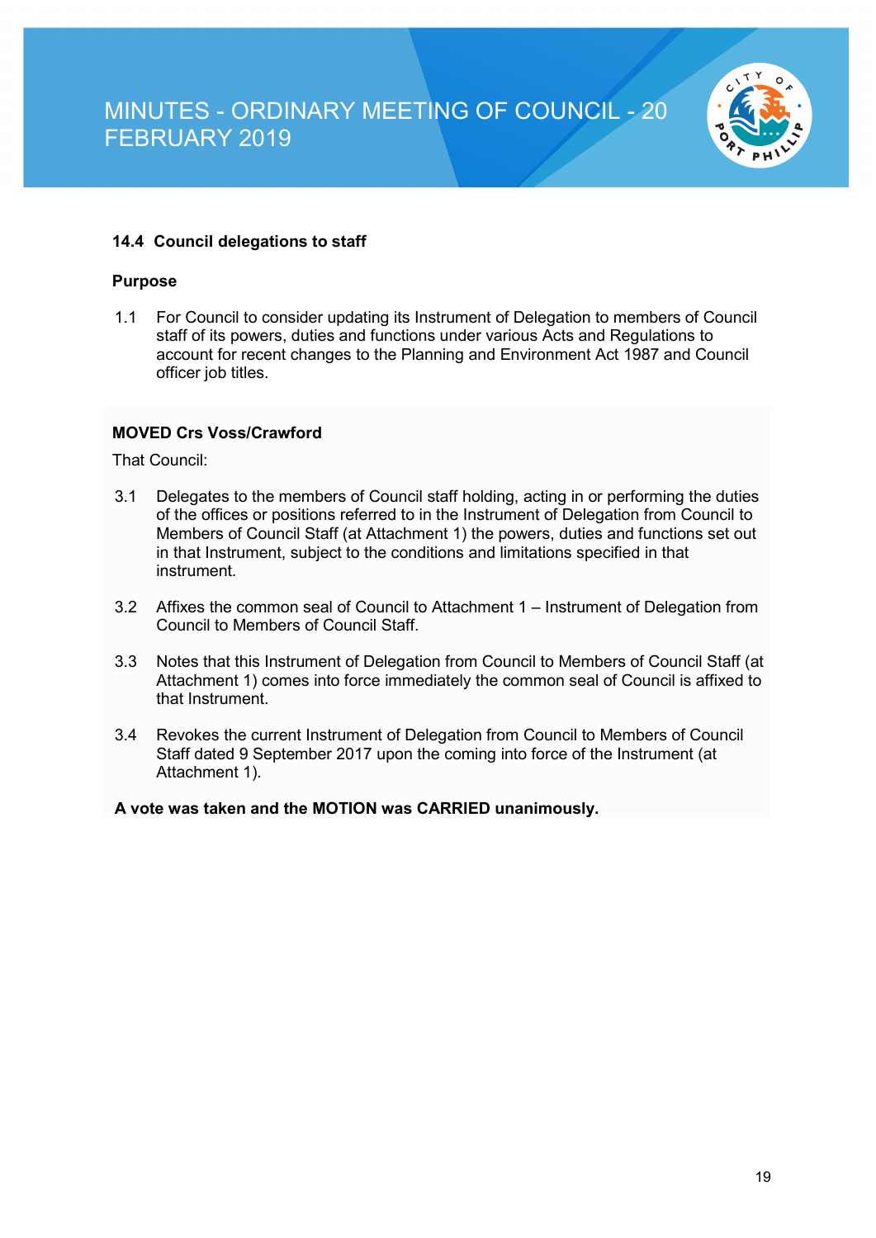

#### **14.4 Council delegations to staff**

#### **Purpose**

1.1 For Council to consider updating its Instrument of Delegation to members of Council staff of its powers, duties and functions under various Acts and Regulations to account for recent changes to the Planning and Environment Act 1987 and Council officer job titles.

#### **MOVED Crs Voss/Crawford**

That Council:

- 3.1 Delegates to the members of Council staff holding, acting in or performing the duties of the offices or positions referred to in the Instrument of Delegation from Council to Members of Council Staff (at Attachment 1) the powers, duties and functions set out in that Instrument, subject to the conditions and limitations specified in that instrument.
- 3.2 Affixes the common seal of Council to Attachment 1 Instrument of Delegation from Council to Members of Council Staff.
- 3.3 Notes that this Instrument of Delegation from Council to Members of Council Staff (at Attachment 1) comes into force immediately the common seal of Council is affixed to that Instrument.
- 3.4 Revokes the current Instrument of Delegation from Council to Members of Council Staff dated 9 September 2017 upon the coming into force of the Instrument (at Attachment 1).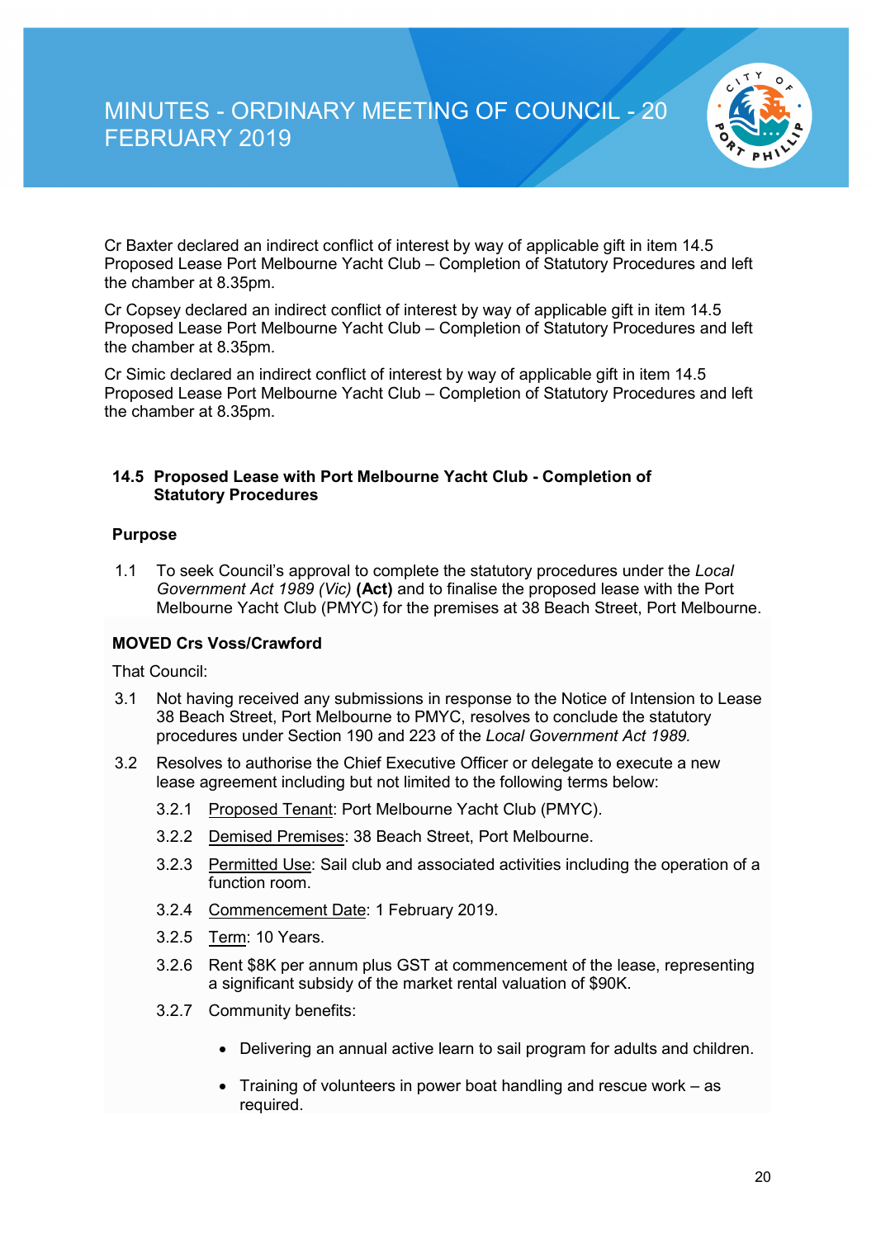

Cr Baxter declared an indirect conflict of interest by way of applicable gift in item 14.5 Proposed Lease Port Melbourne Yacht Club – Completion of Statutory Procedures and left the chamber at 8.35pm.

Cr Copsey declared an indirect conflict of interest by way of applicable gift in item 14.5 Proposed Lease Port Melbourne Yacht Club – Completion of Statutory Procedures and left the chamber at 8.35pm.

Cr Simic declared an indirect conflict of interest by way of applicable gift in item 14.5 Proposed Lease Port Melbourne Yacht Club – Completion of Statutory Procedures and left the chamber at 8.35pm.

#### **14.5 Proposed Lease with Port Melbourne Yacht Club - Completion of Statutory Procedures**

#### **Purpose**

1.1 To seek Council's approval to complete the statutory procedures under the *Local Government Act 1989 (Vic)* **(Act)** and to finalise the proposed lease with the Port Melbourne Yacht Club (PMYC) for the premises at 38 Beach Street, Port Melbourne.

#### **MOVED Crs Voss/Crawford**

That Council:

- 3.1 Not having received any submissions in response to the Notice of Intension to Lease 38 Beach Street, Port Melbourne to PMYC, resolves to conclude the statutory procedures under Section 190 and 223 of the *Local Government Act 1989.*
- 3.2 Resolves to authorise the Chief Executive Officer or delegate to execute a new lease agreement including but not limited to the following terms below:
	- 3.2.1 Proposed Tenant: Port Melbourne Yacht Club (PMYC).
	- 3.2.2 Demised Premises: 38 Beach Street, Port Melbourne.
	- 3.2.3 Permitted Use: Sail club and associated activities including the operation of a function room.
	- 3.2.4 Commencement Date: 1 February 2019.
	- 3.2.5 Term: 10 Years.
	- 3.2.6 Rent \$8K per annum plus GST at commencement of the lease, representing a significant subsidy of the market rental valuation of \$90K.
	- 3.2.7 Community benefits:
		- Delivering an annual active learn to sail program for adults and children.
		- Training of volunteers in power boat handling and rescue work as required.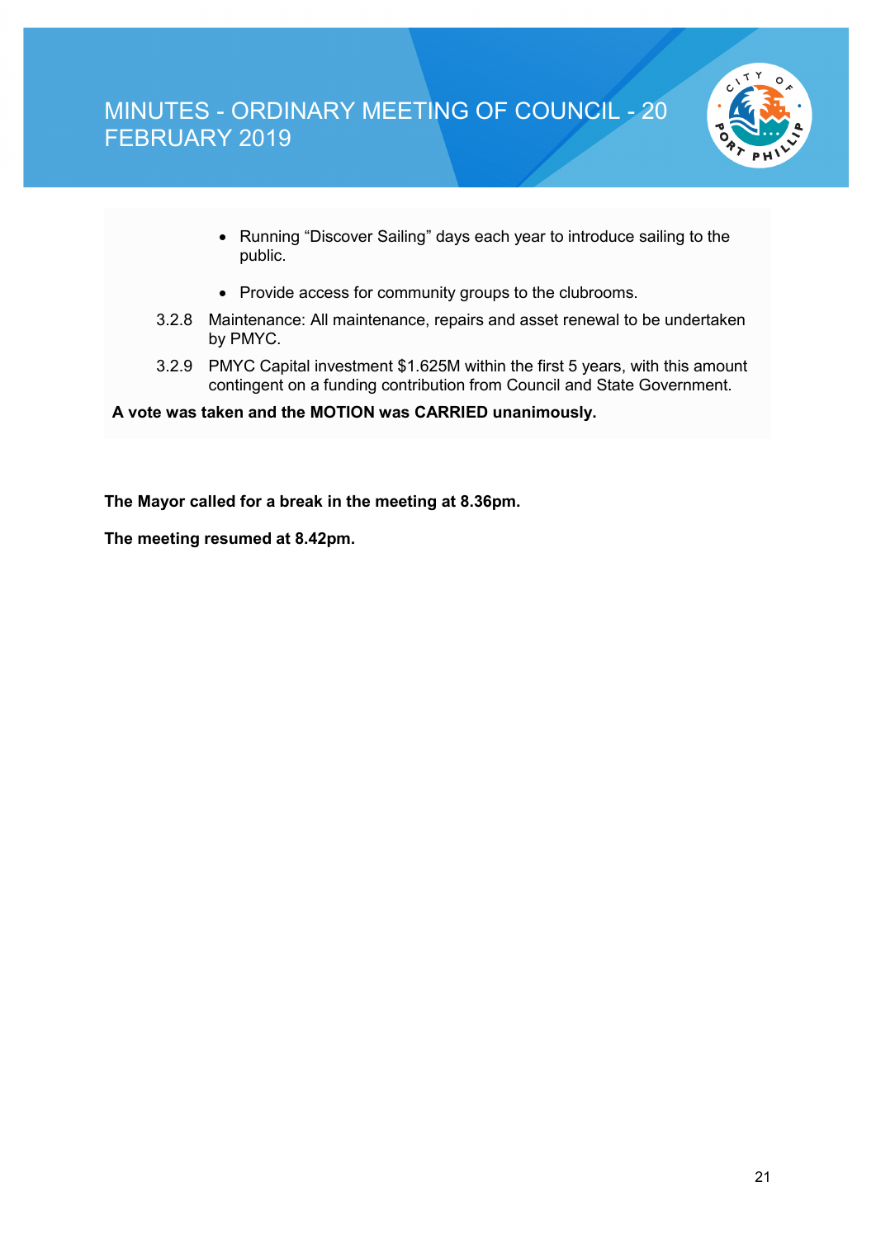

- Running "Discover Sailing" days each year to introduce sailing to the public.
- Provide access for community groups to the clubrooms.
- 3.2.8 Maintenance: All maintenance, repairs and asset renewal to be undertaken by PMYC.
- 3.2.9 PMYC Capital investment \$1.625M within the first 5 years, with this amount contingent on a funding contribution from Council and State Government.

**A vote was taken and the MOTION was CARRIED unanimously.**

**The Mayor called for a break in the meeting at 8.36pm.**

**The meeting resumed at 8.42pm.**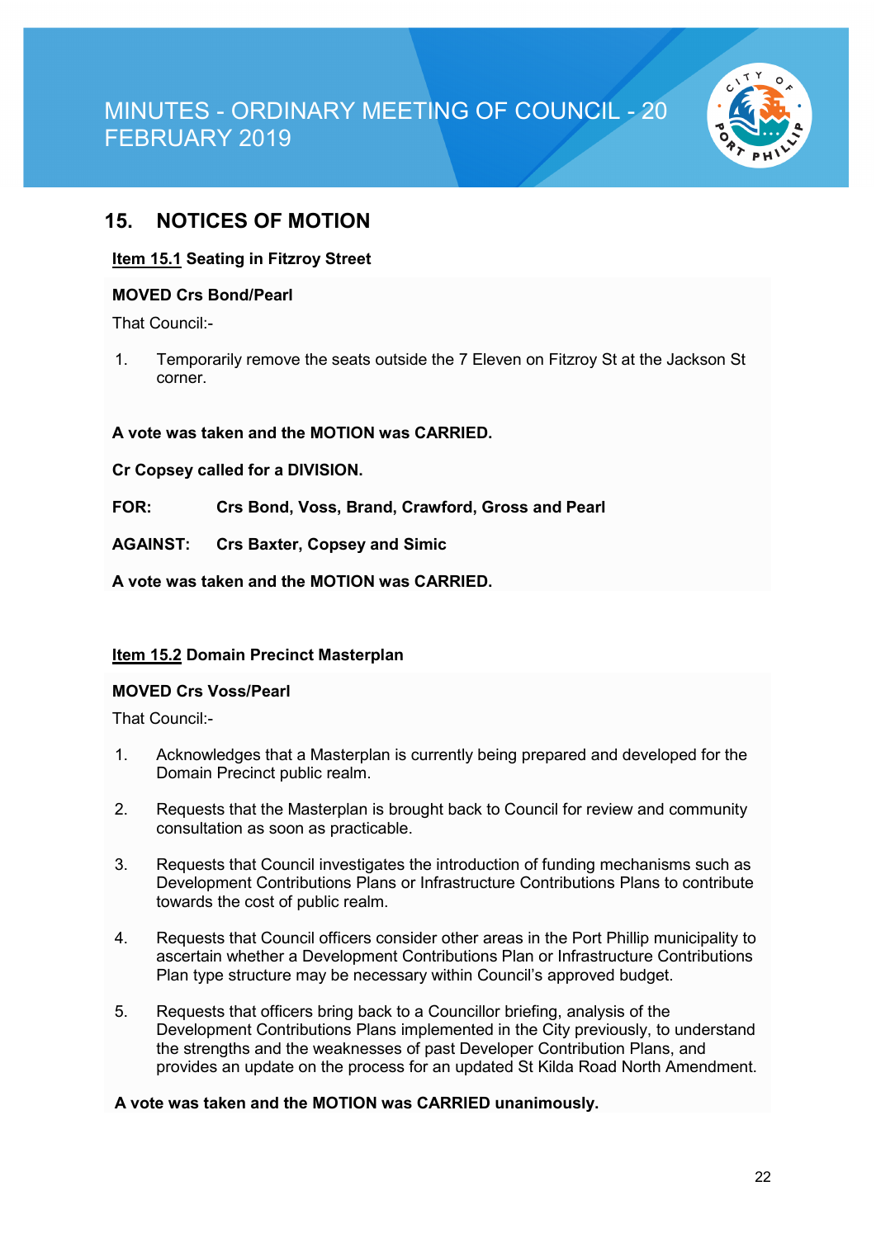

### **15. NOTICES OF MOTION**

#### **Item 15.1 Seating in Fitzroy Street**

#### **MOVED Crs Bond/Pearl**

That Council:-

1. Temporarily remove the seats outside the 7 Eleven on Fitzroy St at the Jackson St corner.

**A vote was taken and the MOTION was CARRIED.**

**Cr Copsey called for a DIVISION.**

**FOR: Crs Bond, Voss, Brand, Crawford, Gross and Pearl**

**AGAINST: Crs Baxter, Copsey and Simic**

**A vote was taken and the MOTION was CARRIED.**

#### **Item 15.2 Domain Precinct Masterplan**

#### **MOVED Crs Voss/Pearl**

That Council:-

- 1. Acknowledges that a Masterplan is currently being prepared and developed for the Domain Precinct public realm.
- 2. Requests that the Masterplan is brought back to Council for review and community consultation as soon as practicable.
- 3. Requests that Council investigates the introduction of funding mechanisms such as Development Contributions Plans or Infrastructure Contributions Plans to contribute towards the cost of public realm.
- 4. Requests that Council officers consider other areas in the Port Phillip municipality to ascertain whether a Development Contributions Plan or Infrastructure Contributions Plan type structure may be necessary within Council's approved budget.
- 5. Requests that officers bring back to a Councillor briefing, analysis of the Development Contributions Plans implemented in the City previously, to understand the strengths and the weaknesses of past Developer Contribution Plans, and provides an update on the process for an updated St Kilda Road North Amendment.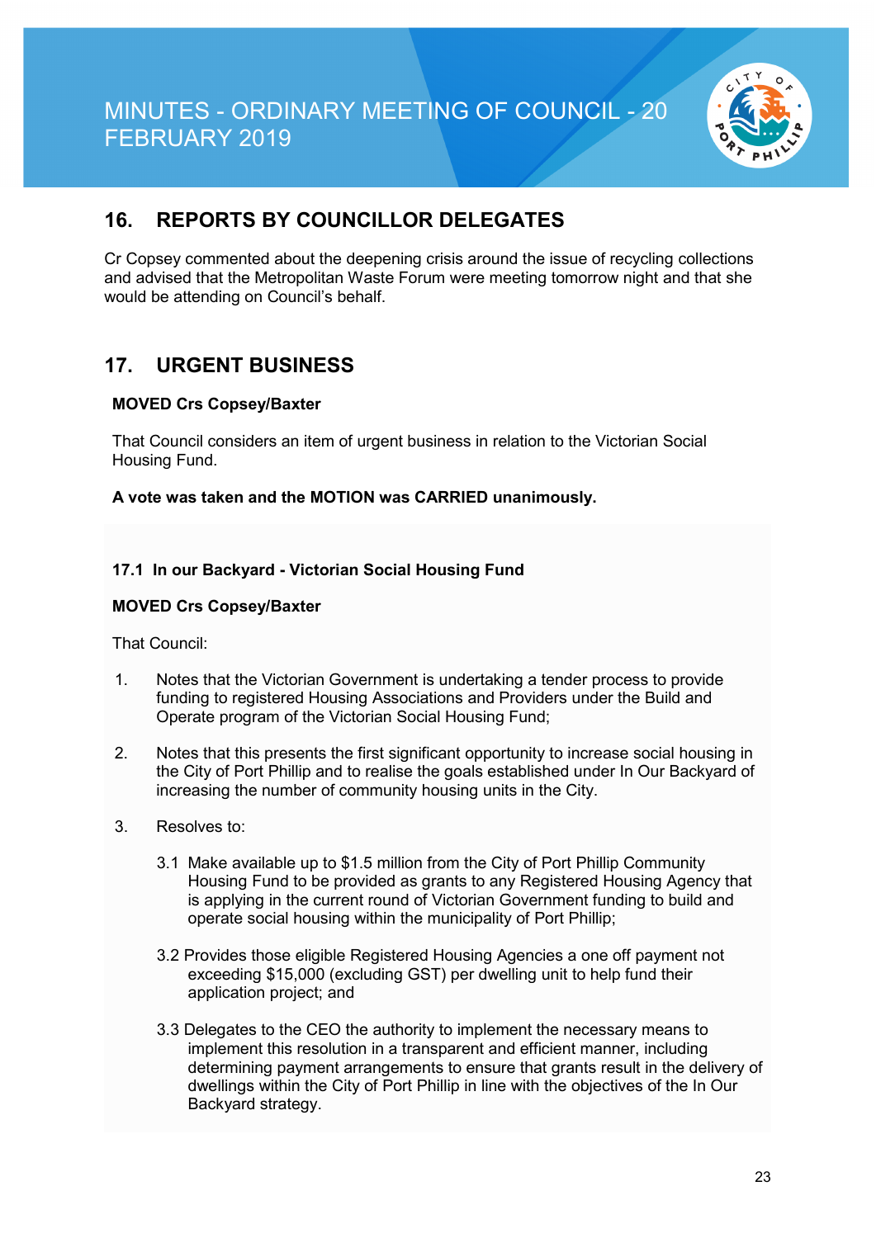

## **16. REPORTS BY COUNCILLOR DELEGATES**

Cr Copsey commented about the deepening crisis around the issue of recycling collections and advised that the Metropolitan Waste Forum were meeting tomorrow night and that she would be attending on Council's behalf.

### **17. URGENT BUSINESS**

#### **MOVED Crs Copsey/Baxter**

That Council considers an item of urgent business in relation to the Victorian Social Housing Fund.

**A vote was taken and the MOTION was CARRIED unanimously.**

#### **17.1 In our Backyard - Victorian Social Housing Fund**

#### **MOVED Crs Copsey/Baxter**

That Council:

- 1. Notes that the Victorian Government is undertaking a tender process to provide funding to registered Housing Associations and Providers under the Build and Operate program of the Victorian Social Housing Fund;
- 2. Notes that this presents the first significant opportunity to increase social housing in the City of Port Phillip and to realise the goals established under In Our Backyard of increasing the number of community housing units in the City.
- 3. Resolves to:
	- 3.1 Make available up to \$1.5 million from the City of Port Phillip Community Housing Fund to be provided as grants to any Registered Housing Agency that is applying in the current round of Victorian Government funding to build and operate social housing within the municipality of Port Phillip;
	- 3.2 Provides those eligible Registered Housing Agencies a one off payment not exceeding \$15,000 (excluding GST) per dwelling unit to help fund their application project; and
	- 3.3 Delegates to the CEO the authority to implement the necessary means to implement this resolution in a transparent and efficient manner, including determining payment arrangements to ensure that grants result in the delivery of dwellings within the City of Port Phillip in line with the objectives of the In Our Backyard strategy.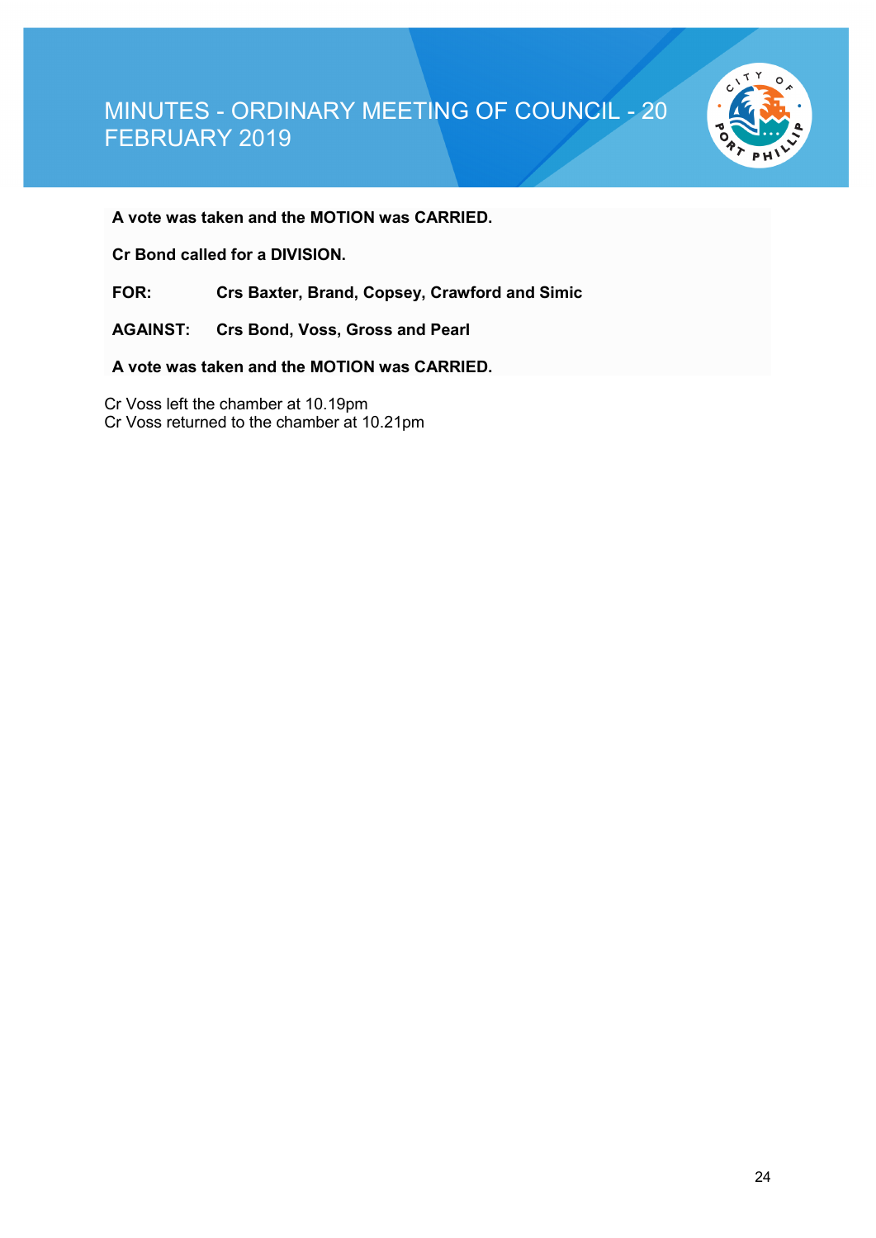

**A vote was taken and the MOTION was CARRIED.**

**Cr Bond called for a DIVISION.**

**FOR: Crs Baxter, Brand, Copsey, Crawford and Simic**

**AGAINST: Crs Bond, Voss, Gross and Pearl**

**A vote was taken and the MOTION was CARRIED.**

Cr Voss left the chamber at 10.19pm Cr Voss returned to the chamber at 10.21pm